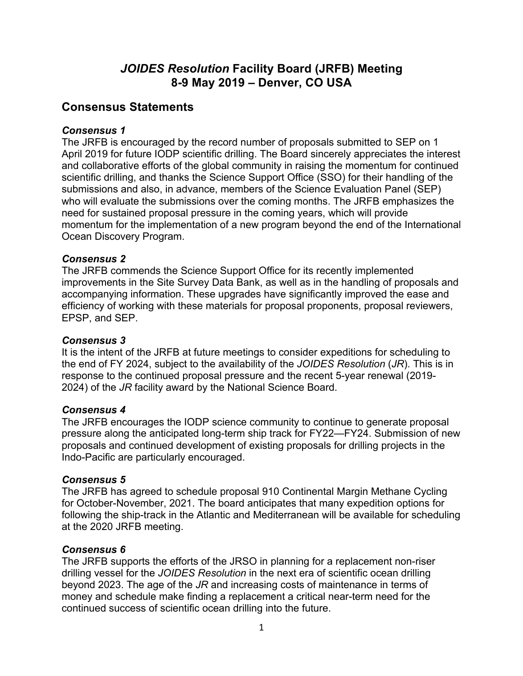# *JOIDES Resolution* **Facility Board (JRFB) Meeting 8-9 May 2019 – Denver, CO USA**

# **Consensus Statements**

#### *Consensus 1*

The JRFB is encouraged by the record number of proposals submitted to SEP on 1 April 2019 for future IODP scientific drilling. The Board sincerely appreciates the interest and collaborative efforts of the global community in raising the momentum for continued scientific drilling, and thanks the Science Support Office (SSO) for their handling of the submissions and also, in advance, members of the Science Evaluation Panel (SEP) who will evaluate the submissions over the coming months. The JRFB emphasizes the need for sustained proposal pressure in the coming years, which will provide momentum for the implementation of a new program beyond the end of the International Ocean Discovery Program.

## *Consensus 2*

The JRFB commends the Science Support Office for its recently implemented improvements in the Site Survey Data Bank, as well as in the handling of proposals and accompanying information. These upgrades have significantly improved the ease and efficiency of working with these materials for proposal proponents, proposal reviewers, EPSP, and SEP.

#### *Consensus 3*

It is the intent of the JRFB at future meetings to consider expeditions for scheduling to the end of FY 2024, subject to the availability of the *JOIDES Resolution* (*JR*). This is in response to the continued proposal pressure and the recent 5-year renewal (2019- 2024) of the *JR* facility award by the National Science Board.

#### *Consensus 4*

The JRFB encourages the IODP science community to continue to generate proposal pressure along the anticipated long-term ship track for FY22—FY24. Submission of new proposals and continued development of existing proposals for drilling projects in the Indo-Pacific are particularly encouraged.

#### *Consensus 5*

The JRFB has agreed to schedule proposal 910 Continental Margin Methane Cycling for October-November, 2021. The board anticipates that many expedition options for following the ship-track in the Atlantic and Mediterranean will be available for scheduling at the 2020 JRFB meeting.

#### *Consensus 6*

The JRFB supports the efforts of the JRSO in planning for a replacement non-riser drilling vessel for the *JOIDES Resolution* in the next era of scientific ocean drilling beyond 2023. The age of the *JR* and increasing costs of maintenance in terms of money and schedule make finding a replacement a critical near-term need for the continued success of scientific ocean drilling into the future.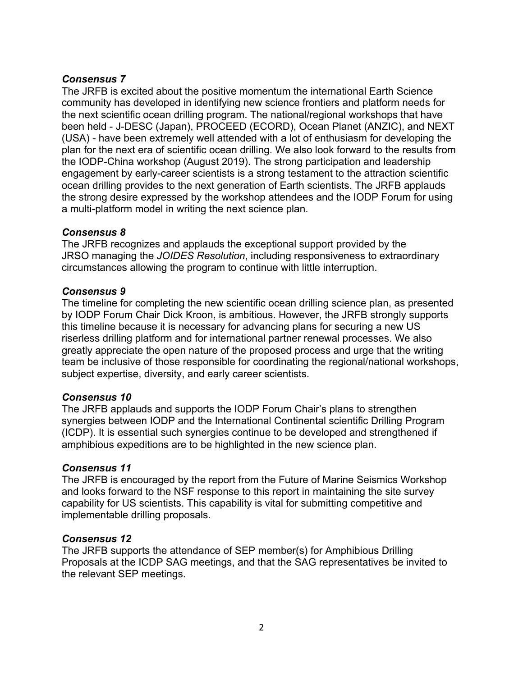## *Consensus 7*

The JRFB is excited about the positive momentum the international Earth Science community has developed in identifying new science frontiers and platform needs for the next scientific ocean drilling program. The national/regional workshops that have been held - J-DESC (Japan), PROCEED (ECORD), Ocean Planet (ANZIC), and NEXT (USA) - have been extremely well attended with a lot of enthusiasm for developing the plan for the next era of scientific ocean drilling. We also look forward to the results from the IODP-China workshop (August 2019). The strong participation and leadership engagement by early-career scientists is a strong testament to the attraction scientific ocean drilling provides to the next generation of Earth scientists. The JRFB applauds the strong desire expressed by the workshop attendees and the IODP Forum for using a multi-platform model in writing the next science plan.

#### *Consensus 8*

The JRFB recognizes and applauds the exceptional support provided by the JRSO managing the *JOIDES Resolution*, including responsiveness to extraordinary circumstances allowing the program to continue with little interruption.

## *Consensus 9*

The timeline for completing the new scientific ocean drilling science plan, as presented by IODP Forum Chair Dick Kroon, is ambitious. However, the JRFB strongly supports this timeline because it is necessary for advancing plans for securing a new US riserless drilling platform and for international partner renewal processes. We also greatly appreciate the open nature of the proposed process and urge that the writing team be inclusive of those responsible for coordinating the regional/national workshops, subject expertise, diversity, and early career scientists.

#### *Consensus 10*

The JRFB applauds and supports the IODP Forum Chair's plans to strengthen synergies between IODP and the International Continental scientific Drilling Program (ICDP). It is essential such synergies continue to be developed and strengthened if amphibious expeditions are to be highlighted in the new science plan.

#### *Consensus 11*

The JRFB is encouraged by the report from the Future of Marine Seismics Workshop and looks forward to the NSF response to this report in maintaining the site survey capability for US scientists. This capability is vital for submitting competitive and implementable drilling proposals.

#### *Consensus 12*

The JRFB supports the attendance of SEP member(s) for Amphibious Drilling Proposals at the ICDP SAG meetings, and that the SAG representatives be invited to the relevant SEP meetings.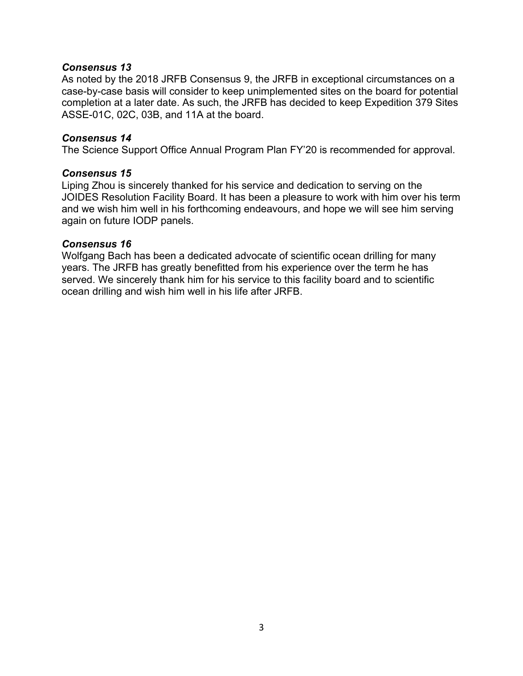#### *Consensus 13*

As noted by the 2018 JRFB Consensus 9, the JRFB in exceptional circumstances on a case-by-case basis will consider to keep unimplemented sites on the board for potential completion at a later date. As such, the JRFB has decided to keep Expedition 379 Sites ASSE-01C, 02C, 03B, and 11A at the board.

#### *Consensus 14*

The Science Support Office Annual Program Plan FY'20 is recommended for approval.

#### *Consensus 15*

Liping Zhou is sincerely thanked for his service and dedication to serving on the JOIDES Resolution Facility Board. It has been a pleasure to work with him over his term and we wish him well in his forthcoming endeavours, and hope we will see him serving again on future IODP panels.

#### *Consensus 16*

Wolfgang Bach has been a dedicated advocate of scientific ocean drilling for many years. The JRFB has greatly benefitted from his experience over the term he has served. We sincerely thank him for his service to this facility board and to scientific ocean drilling and wish him well in his life after JRFB.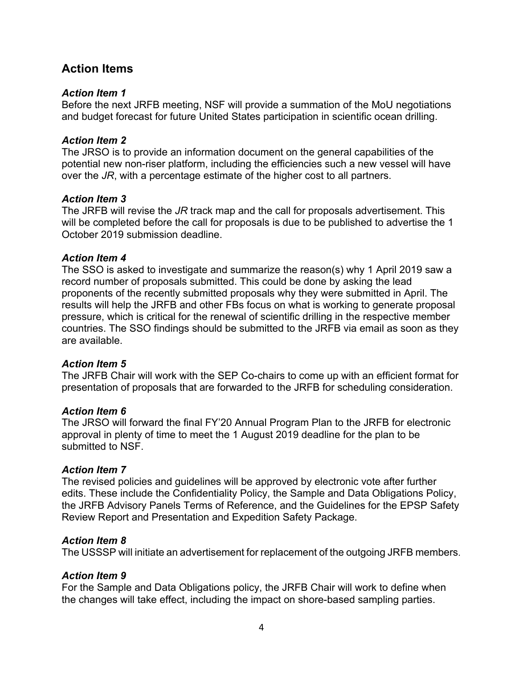# **Action Items**

#### *Action Item 1*

Before the next JRFB meeting, NSF will provide a summation of the MoU negotiations and budget forecast for future United States participation in scientific ocean drilling.

#### *Action Item 2*

The JRSO is to provide an information document on the general capabilities of the potential new non-riser platform, including the efficiencies such a new vessel will have over the *JR*, with a percentage estimate of the higher cost to all partners.

#### *Action Item 3*

The JRFB will revise the *JR* track map and the call for proposals advertisement. This will be completed before the call for proposals is due to be published to advertise the 1 October 2019 submission deadline.

#### *Action Item 4*

The SSO is asked to investigate and summarize the reason(s) why 1 April 2019 saw a record number of proposals submitted. This could be done by asking the lead proponents of the recently submitted proposals why they were submitted in April. The results will help the JRFB and other FBs focus on what is working to generate proposal pressure, which is critical for the renewal of scientific drilling in the respective member countries. The SSO findings should be submitted to the JRFB via email as soon as they are available.

#### *Action Item 5*

The JRFB Chair will work with the SEP Co-chairs to come up with an efficient format for presentation of proposals that are forwarded to the JRFB for scheduling consideration.

#### *Action Item 6*

The JRSO will forward the final FY'20 Annual Program Plan to the JRFB for electronic approval in plenty of time to meet the 1 August 2019 deadline for the plan to be submitted to NSF.

## *Action Item 7*

The revised policies and guidelines will be approved by electronic vote after further edits. These include the Confidentiality Policy, the Sample and Data Obligations Policy, the JRFB Advisory Panels Terms of Reference, and the Guidelines for the EPSP Safety Review Report and Presentation and Expedition Safety Package.

#### *Action Item 8*

The USSSP will initiate an advertisement for replacement of the outgoing JRFB members.

## *Action Item 9*

For the Sample and Data Obligations policy, the JRFB Chair will work to define when the changes will take effect, including the impact on shore-based sampling parties.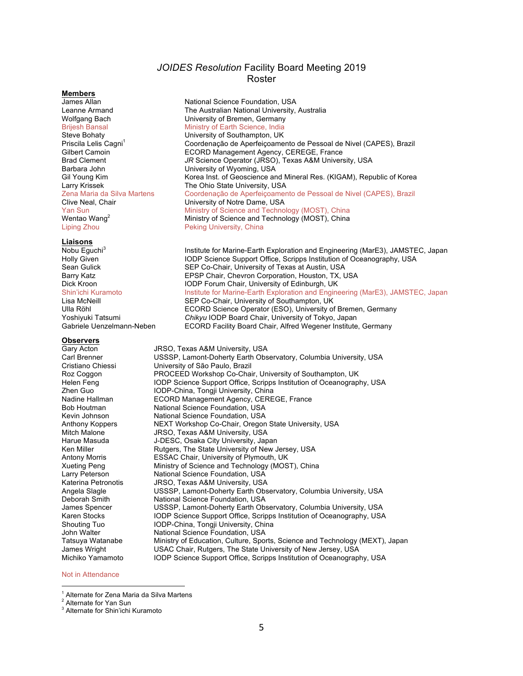#### *JOIDES Resolution* Facility Board Meeting 2019 Roster

#### **Members**

Liping Zhou **Peking University, China** 

#### **Liaisons**

#### **Observers**

James Allan National Science Foundation, USA Leanne Armand The Australian National University, Australia<br>
Wolfgang Bach The Australian Of Bremen, Germany Wolfgang Bach **Vichor Communisty University of Bremen, Germany**<br>
Brijesh Bansal **Ninistry of Earth Science**, India Brijesh Bansal **Ministry of Earth Science, India**<br>
Steve Bohaty **Ministry of Southampton, UK** University of Southampton, UK Priscila Lelis Cagni<sup>1</sup> Coordenação de Aperfeiçoamento de Pessoal de Nivel (CAPES), Brazil Gilbert Camoin Camoin ECORD Management Agency, CEREGE, France Brad Clement *JR* Science Operator (JRSO), Texas A&M University, USA Barbara John University of Wyoming, USA Gil Young Kim **Korea Inst. of Geoscience and Mineral Res.** (KIGAM), Republic of Korea Larry Krissek The Ohio State University, USA Zena Maria da Silva Martens Coordenação de Aperfeiçoamento de Pessoal de Nivel (CAPES), Brazil Clive Neal, Chair University of Notre Dame, USA Yan Sun Ministry of Science and Technology (MOST), China Wentao Wang<sup>2</sup> Ministry of Science and Technology (MOST), China

Nobu Eguchi<sup>3</sup> Institute for Marine-Earth Exploration and Engineering (MarE3), JAMSTEC, Japan<br>IODP Science Support Office, Scripps Institution of Oceanography, USA IODP Science Support Office, Scripps Institution of Oceanography, USA Sean Gulick SEP Co-Chair, University of Texas at Austin, USA Barry Katz **EPSP Chair, Chevron Corporation, Houston, TX, USA** Dick Kroon **IODP Forum Chair, University of Edinburgh, UK** Shin'ichi Kuramoto **Institute for Marine-Earth Exploration and Engineering (MarE3)**, JAMSTEC, Japan<br>
Lisa McNeill **Institute of Collact Content** University of Southampton, UK Lisa McNeill SEP Co-Chair, University of Southampton, UK ECORD Science Operator (ESO), University of Bremen, Germany Yoshiyuki Tatsumi *Chikyu* IODP Board Chair, University of Tokyo, Japan Gabriele Uenzelmann-Neben ECORD Facility Board Chair, Alfred Wegener Institute, Germany

Gary Acton **JRSO, Texas A&M University, USA**<br>Carl Brenner **Carl Strutter USSSP, Lamont-Doherty Earth Obs** Carl Brenner **USSSP, Lamont-Doherty Earth Observatory, Columbia University, USA**<br>Cristiano Chiessi **University of São Paulo**. Brazil University of São Paulo, Brazil Roz Coggon **PROCEED Workshop Co-Chair, University of Southampton, UK** Helen Feng **IODP** Science Support Office, Scripps Institution of Oceanography, USA<br> **IODP-China** Tongii University, China IODP-China, Tongji University, China Nadine Hallman ECORD Management Agency, CEREGE, France Bob Houtman National Science Foundation, USA Kevin Johnson National Science Foundation, USA Anthony Koppers NEXT Workshop Co-Chair, Oregon State University, USA Mitch Malone JRSO, Texas A&M University, USA Harue Masuda J-DESC, Osaka City University, Japan Ken Miller **Rutgers**, The State University of New Jersey, USA Antony Morris ESSAC Chair, University of Plymouth, UK Xueting Peng Ministry of Science and Technology (MOST), China Larry Peterson **National Science Foundation, USA** Katerina Petronotis JRSO, Texas A&M University, USA Angela Slagle USSSP, Lamont-Doherty Earth Observatory, Columbia University, USA Deborah Smith **National Science Foundation, USA**<br>James Spencer USSSP, Lamont-Doherty Earth Ob USSSP, Lamont-Doherty Earth Observatory, Columbia University, USA Karen Stocks **IODP** Science Support Office, Scripps Institution of Oceanography, USA Shouting Tuo **IODP-China, Tongji University, China**<br>John Walter **Interpretational Science Foundation**, USA National Science Foundation, USA Tatsuya Watanabe Ministry of Education, Culture, Sports, Science and Technology (MEXT), Japan James Wright **USAC Chair, Rutgers, The State University of New Jersey, USA**<br>Michiko Yamamoto **New Your De Science Support Office. Scripps Institution of Oceanograp** IODP Science Support Office, Scripps Institution of Oceanography, USA

#### Not in Attendance

 $1$  Alternate for Zena Maria da Silva Martens

<sup>&</sup>lt;sup>2</sup> Alternate for Yan Sun

<sup>3</sup> Alternate for Shin'ichi Kuramoto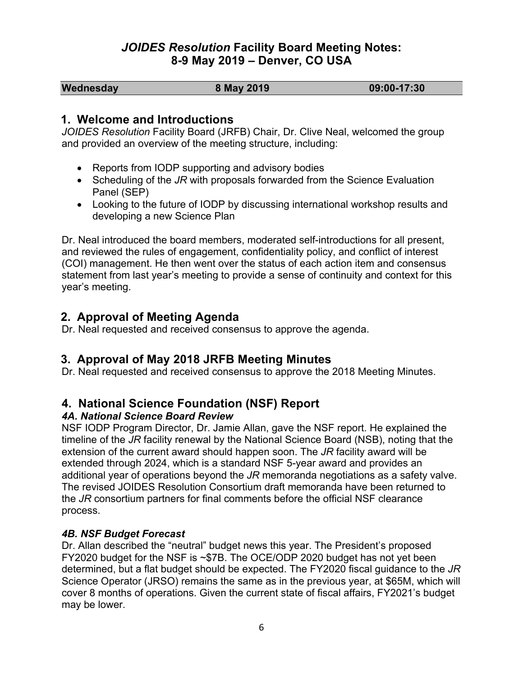# *JOIDES Resolution* **Facility Board Meeting Notes: 8-9 May 2019 – Denver, CO USA**

| Wednesday | 8 May 2019 | $09:00 - 17:30$ |
|-----------|------------|-----------------|
|-----------|------------|-----------------|

# **1. Welcome and Introductions**

*JOIDES Resolution* Facility Board (JRFB) Chair, Dr. Clive Neal, welcomed the group and provided an overview of the meeting structure, including:

- Reports from IODP supporting and advisory bodies
- Scheduling of the *JR* with proposals forwarded from the Science Evaluation Panel (SEP)
- Looking to the future of IODP by discussing international workshop results and developing a new Science Plan

Dr. Neal introduced the board members, moderated self-introductions for all present, and reviewed the rules of engagement, confidentiality policy, and conflict of interest (COI) management. He then went over the status of each action item and consensus statement from last year's meeting to provide a sense of continuity and context for this year's meeting.

# **2. Approval of Meeting Agenda**

Dr. Neal requested and received consensus to approve the agenda.

# **3. Approval of May 2018 JRFB Meeting Minutes**

Dr. Neal requested and received consensus to approve the 2018 Meeting Minutes.

# **4. National Science Foundation (NSF) Report**

## *4A. National Science Board Review*

NSF IODP Program Director, Dr. Jamie Allan, gave the NSF report. He explained the timeline of the *JR* facility renewal by the National Science Board (NSB), noting that the extension of the current award should happen soon. The *JR* facility award will be extended through 2024, which is a standard NSF 5-year award and provides an additional year of operations beyond the *JR* memoranda negotiations as a safety valve. The revised JOIDES Resolution Consortium draft memoranda have been returned to the *JR* consortium partners for final comments before the official NSF clearance process.

#### *4B. NSF Budget Forecast*

Dr. Allan described the "neutral" budget news this year. The President's proposed FY2020 budget for the NSF is ~\$7B. The OCE/ODP 2020 budget has not yet been determined, but a flat budget should be expected. The FY2020 fiscal guidance to the *JR* Science Operator (JRSO) remains the same as in the previous year, at \$65M, which will cover 8 months of operations. Given the current state of fiscal affairs, FY2021's budget may be lower.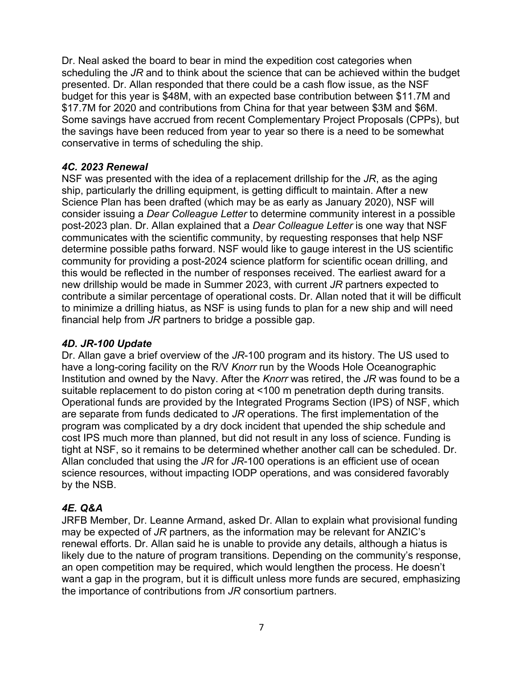Dr. Neal asked the board to bear in mind the expedition cost categories when scheduling the *JR* and to think about the science that can be achieved within the budget presented. Dr. Allan responded that there could be a cash flow issue, as the NSF budget for this year is \$48M, with an expected base contribution between \$11.7M and \$17.7M for 2020 and contributions from China for that year between \$3M and \$6M. Some savings have accrued from recent Complementary Project Proposals (CPPs), but the savings have been reduced from year to year so there is a need to be somewhat conservative in terms of scheduling the ship.

## *4C. 2023 Renewal*

NSF was presented with the idea of a replacement drillship for the *JR*, as the aging ship, particularly the drilling equipment, is getting difficult to maintain. After a new Science Plan has been drafted (which may be as early as January 2020), NSF will consider issuing a *Dear Colleague Letter* to determine community interest in a possible post-2023 plan. Dr. Allan explained that a *Dear Colleague Letter* is one way that NSF communicates with the scientific community, by requesting responses that help NSF determine possible paths forward. NSF would like to gauge interest in the US scientific community for providing a post-2024 science platform for scientific ocean drilling, and this would be reflected in the number of responses received. The earliest award for a new drillship would be made in Summer 2023, with current *JR* partners expected to contribute a similar percentage of operational costs. Dr. Allan noted that it will be difficult to minimize a drilling hiatus, as NSF is using funds to plan for a new ship and will need financial help from *JR* partners to bridge a possible gap.

## *4D. JR-100 Update*

Dr. Allan gave a brief overview of the *JR*-100 program and its history. The US used to have a long-coring facility on the R/V *Knorr* run by the Woods Hole Oceanographic Institution and owned by the Navy. After the *Knorr* was retired, the *JR* was found to be a suitable replacement to do piston coring at <100 m penetration depth during transits. Operational funds are provided by the Integrated Programs Section (IPS) of NSF, which are separate from funds dedicated to *JR* operations. The first implementation of the program was complicated by a dry dock incident that upended the ship schedule and cost IPS much more than planned, but did not result in any loss of science. Funding is tight at NSF, so it remains to be determined whether another call can be scheduled. Dr. Allan concluded that using the *JR* for *JR*-100 operations is an efficient use of ocean science resources, without impacting IODP operations, and was considered favorably by the NSB.

## *4E. Q&A*

JRFB Member, Dr. Leanne Armand, asked Dr. Allan to explain what provisional funding may be expected of *JR* partners, as the information may be relevant for ANZIC's renewal efforts. Dr. Allan said he is unable to provide any details, although a hiatus is likely due to the nature of program transitions. Depending on the community's response, an open competition may be required, which would lengthen the process. He doesn't want a gap in the program, but it is difficult unless more funds are secured, emphasizing the importance of contributions from *JR* consortium partners.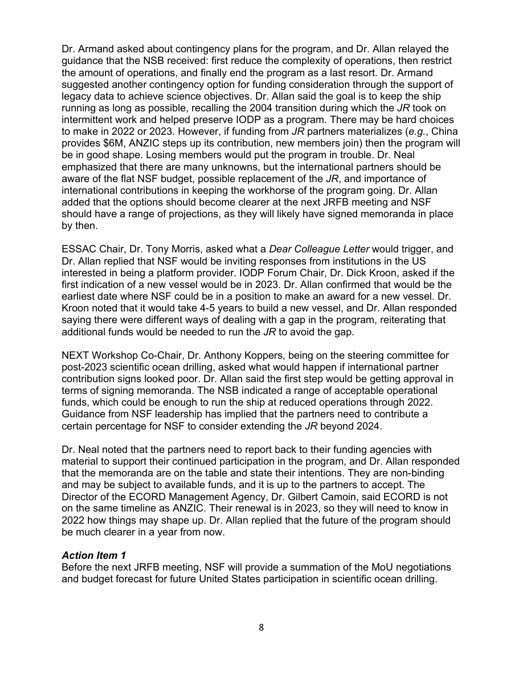Dr. Armand asked about contingency plans for the program, and Dr. Allan relayed the guidance that the NSB received: first reduce the complexity of operations, then restrict the amount of operations, and finally end the program as a last resort. Dr. Armand suggested another contingency option for funding consideration through the support of legacy data to achieve science objectives. Dr. Allan said the goal is to keep the ship running as long as possible, recalling the 2004 transition during which the *JR* took on intermittent work and helped preserve IODP as a program. There may be hard choices to make in 2022 or 2023. However, if funding from *JR* partners materializes (*e.g.*, China provides \$6M, ANZIC steps up its contribution, new members join) then the program will be in good shape. Losing members would put the program in trouble. Dr. Neal emphasized that there are many unknowns, but the international partners should be aware of the flat NSF budget, possible replacement of the *JR*, and importance of international contributions in keeping the workhorse of the program going. Dr. Allan added that the options should become clearer at the next JRFB meeting and NSF should have a range of projections, as they will likely have signed memoranda in place by then.

ESSAC Chair, Dr. Tony Morris, asked what a *Dear Colleague Letter* would trigger, and Dr. Allan replied that NSF would be inviting responses from institutions in the US interested in being a platform provider. IODP Forum Chair, Dr. Dick Kroon, asked if the first indication of a new vessel would be in 2023. Dr. Allan confirmed that would be the earliest date where NSF could be in a position to make an award for a new vessel. Dr. Kroon noted that it would take 4-5 years to build a new vessel, and Dr. Allan responded saying there were different ways of dealing with a gap in the program, reiterating that additional funds would be needed to run the *JR* to avoid the gap.

NEXT Workshop Co-Chair, Dr. Anthony Koppers, being on the steering committee for post-2023 scientific ocean drilling, asked what would happen if international partner contribution signs looked poor. Dr. Allan said the first step would be getting approval in terms of signing memoranda. The NSB indicated a range of acceptable operational funds, which could be enough to run the ship at reduced operations through 2022. Guidance from NSF leadership has implied that the partners need to contribute a certain percentage for NSF to consider extending the *JR* beyond 2024.

Dr. Neal noted that the partners need to report back to their funding agencies with material to support their continued participation in the program, and Dr. Allan responded that the memoranda are on the table and state their intentions. They are non-binding and may be subject to available funds, and it is up to the partners to accept. The Director of the ECORD Management Agency, Dr. Gilbert Camoin, said ECORD is not on the same timeline as ANZIC. Their renewal is in 2023, so they will need to know in 2022 how things may shape up. Dr. Allan replied that the future of the program should be much clearer in a year from now.

#### *Action Item 1*

Before the next JRFB meeting, NSF will provide a summation of the MoU negotiations and budget forecast for future United States participation in scientific ocean drilling.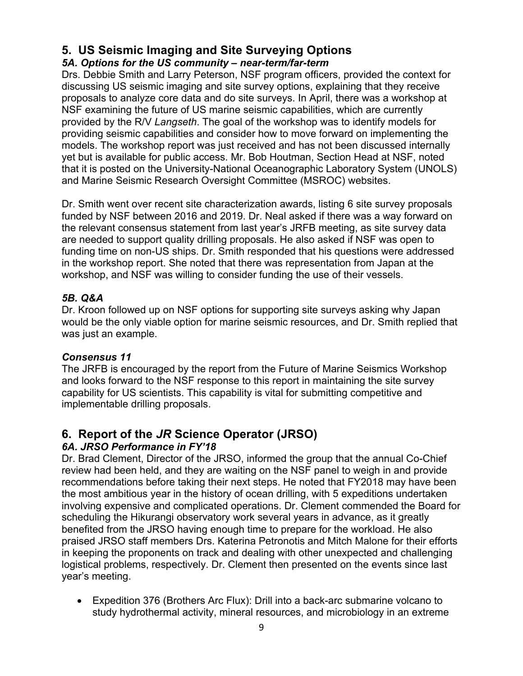# **5. US Seismic Imaging and Site Surveying Options**

# *5A. Options for the US community – near-term/far-term*

Drs. Debbie Smith and Larry Peterson, NSF program officers, provided the context for discussing US seismic imaging and site survey options, explaining that they receive proposals to analyze core data and do site surveys. In April, there was a workshop at NSF examining the future of US marine seismic capabilities, which are currently provided by the R/V *Langseth*. The goal of the workshop was to identify models for providing seismic capabilities and consider how to move forward on implementing the models. The workshop report was just received and has not been discussed internally yet but is available for public access. Mr. Bob Houtman, Section Head at NSF, noted that it is posted on the University-National Oceanographic Laboratory System (UNOLS) and Marine Seismic Research Oversight Committee (MSROC) websites.

Dr. Smith went over recent site characterization awards, listing 6 site survey proposals funded by NSF between 2016 and 2019. Dr. Neal asked if there was a way forward on the relevant consensus statement from last year's JRFB meeting, as site survey data are needed to support quality drilling proposals. He also asked if NSF was open to funding time on non-US ships. Dr. Smith responded that his questions were addressed in the workshop report. She noted that there was representation from Japan at the workshop, and NSF was willing to consider funding the use of their vessels.

## *5B. Q&A*

Dr. Kroon followed up on NSF options for supporting site surveys asking why Japan would be the only viable option for marine seismic resources, and Dr. Smith replied that was just an example.

## *Consensus 11*

The JRFB is encouraged by the report from the Future of Marine Seismics Workshop and looks forward to the NSF response to this report in maintaining the site survey capability for US scientists. This capability is vital for submitting competitive and implementable drilling proposals.

# **6. Report of the** *JR* **Science Operator (JRSO)**

# *6A. JRSO Performance in FY'18*

Dr. Brad Clement, Director of the JRSO, informed the group that the annual Co-Chief review had been held, and they are waiting on the NSF panel to weigh in and provide recommendations before taking their next steps. He noted that FY2018 may have been the most ambitious year in the history of ocean drilling, with 5 expeditions undertaken involving expensive and complicated operations. Dr. Clement commended the Board for scheduling the Hikurangi observatory work several years in advance, as it greatly benefited from the JRSO having enough time to prepare for the workload. He also praised JRSO staff members Drs. Katerina Petronotis and Mitch Malone for their efforts in keeping the proponents on track and dealing with other unexpected and challenging logistical problems, respectively. Dr. Clement then presented on the events since last year's meeting.

• Expedition 376 (Brothers Arc Flux): Drill into a back-arc submarine volcano to study hydrothermal activity, mineral resources, and microbiology in an extreme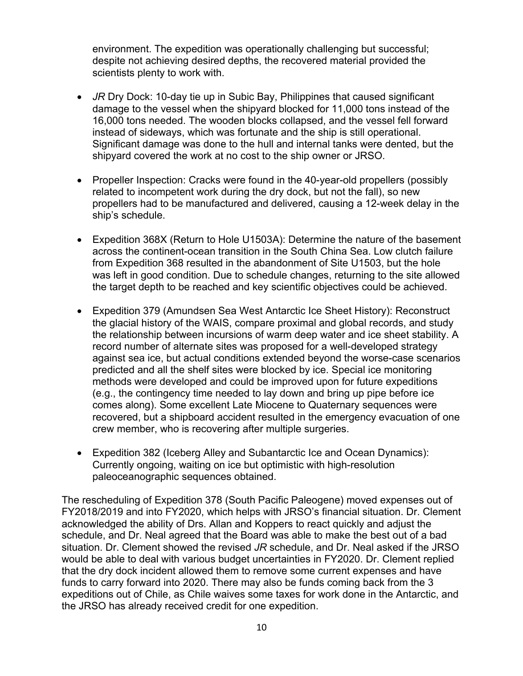environment. The expedition was operationally challenging but successful; despite not achieving desired depths, the recovered material provided the scientists plenty to work with.

- *JR* Dry Dock: 10-day tie up in Subic Bay, Philippines that caused significant damage to the vessel when the shipyard blocked for 11,000 tons instead of the 16,000 tons needed. The wooden blocks collapsed, and the vessel fell forward instead of sideways, which was fortunate and the ship is still operational. Significant damage was done to the hull and internal tanks were dented, but the shipyard covered the work at no cost to the ship owner or JRSO.
- Propeller Inspection: Cracks were found in the 40-year-old propellers (possibly related to incompetent work during the dry dock, but not the fall), so new propellers had to be manufactured and delivered, causing a 12-week delay in the ship's schedule.
- Expedition 368X (Return to Hole U1503A): Determine the nature of the basement across the continent-ocean transition in the South China Sea. Low clutch failure from Expedition 368 resulted in the abandonment of Site U1503, but the hole was left in good condition. Due to schedule changes, returning to the site allowed the target depth to be reached and key scientific objectives could be achieved.
- Expedition 379 (Amundsen Sea West Antarctic Ice Sheet History): Reconstruct the glacial history of the WAIS, compare proximal and global records, and study the relationship between incursions of warm deep water and ice sheet stability. A record number of alternate sites was proposed for a well-developed strategy against sea ice, but actual conditions extended beyond the worse-case scenarios predicted and all the shelf sites were blocked by ice. Special ice monitoring methods were developed and could be improved upon for future expeditions (e.g., the contingency time needed to lay down and bring up pipe before ice comes along). Some excellent Late Miocene to Quaternary sequences were recovered, but a shipboard accident resulted in the emergency evacuation of one crew member, who is recovering after multiple surgeries.
- Expedition 382 (Iceberg Alley and Subantarctic Ice and Ocean Dynamics): Currently ongoing, waiting on ice but optimistic with high-resolution paleoceanographic sequences obtained.

The rescheduling of Expedition 378 (South Pacific Paleogene) moved expenses out of FY2018/2019 and into FY2020, which helps with JRSO's financial situation. Dr. Clement acknowledged the ability of Drs. Allan and Koppers to react quickly and adjust the schedule, and Dr. Neal agreed that the Board was able to make the best out of a bad situation. Dr. Clement showed the revised *JR* schedule, and Dr. Neal asked if the JRSO would be able to deal with various budget uncertainties in FY2020. Dr. Clement replied that the dry dock incident allowed them to remove some current expenses and have funds to carry forward into 2020. There may also be funds coming back from the 3 expeditions out of Chile, as Chile waives some taxes for work done in the Antarctic, and the JRSO has already received credit for one expedition.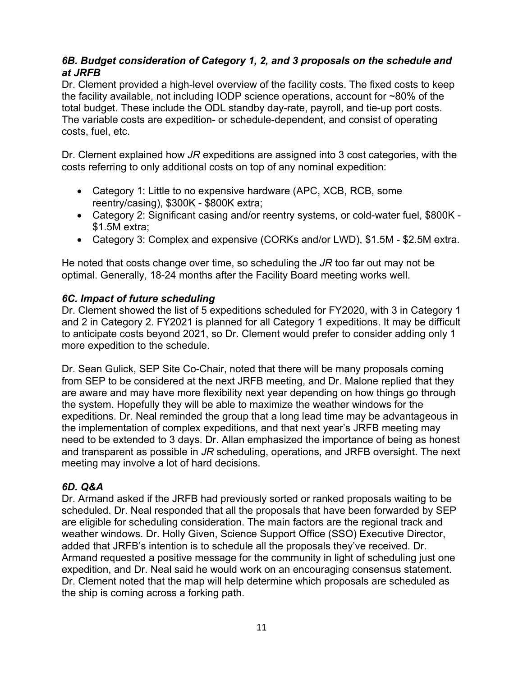## *6B. Budget consideration of Category 1, 2, and 3 proposals on the schedule and at JRFB*

Dr. Clement provided a high-level overview of the facility costs. The fixed costs to keep the facility available, not including IODP science operations, account for ~80% of the total budget. These include the ODL standby day-rate, payroll, and tie-up port costs. The variable costs are expedition- or schedule-dependent, and consist of operating costs, fuel, etc.

Dr. Clement explained how *JR* expeditions are assigned into 3 cost categories, with the costs referring to only additional costs on top of any nominal expedition:

- Category 1: Little to no expensive hardware (APC, XCB, RCB, some reentry/casing), \$300K - \$800K extra;
- Category 2: Significant casing and/or reentry systems, or cold-water fuel, \$800K \$1.5M extra;
- Category 3: Complex and expensive (CORKs and/or LWD), \$1.5M \$2.5M extra.

He noted that costs change over time, so scheduling the *JR* too far out may not be optimal. Generally, 18-24 months after the Facility Board meeting works well.

## *6C. Impact of future scheduling*

Dr. Clement showed the list of 5 expeditions scheduled for FY2020, with 3 in Category 1 and 2 in Category 2. FY2021 is planned for all Category 1 expeditions. It may be difficult to anticipate costs beyond 2021, so Dr. Clement would prefer to consider adding only 1 more expedition to the schedule.

Dr. Sean Gulick, SEP Site Co-Chair, noted that there will be many proposals coming from SEP to be considered at the next JRFB meeting, and Dr. Malone replied that they are aware and may have more flexibility next year depending on how things go through the system. Hopefully they will be able to maximize the weather windows for the expeditions. Dr. Neal reminded the group that a long lead time may be advantageous in the implementation of complex expeditions, and that next year's JRFB meeting may need to be extended to 3 days. Dr. Allan emphasized the importance of being as honest and transparent as possible in *JR* scheduling, operations, and JRFB oversight. The next meeting may involve a lot of hard decisions.

## *6D. Q&A*

Dr. Armand asked if the JRFB had previously sorted or ranked proposals waiting to be scheduled. Dr. Neal responded that all the proposals that have been forwarded by SEP are eligible for scheduling consideration. The main factors are the regional track and weather windows. Dr. Holly Given, Science Support Office (SSO) Executive Director, added that JRFB's intention is to schedule all the proposals they've received. Dr. Armand requested a positive message for the community in light of scheduling just one expedition, and Dr. Neal said he would work on an encouraging consensus statement. Dr. Clement noted that the map will help determine which proposals are scheduled as the ship is coming across a forking path.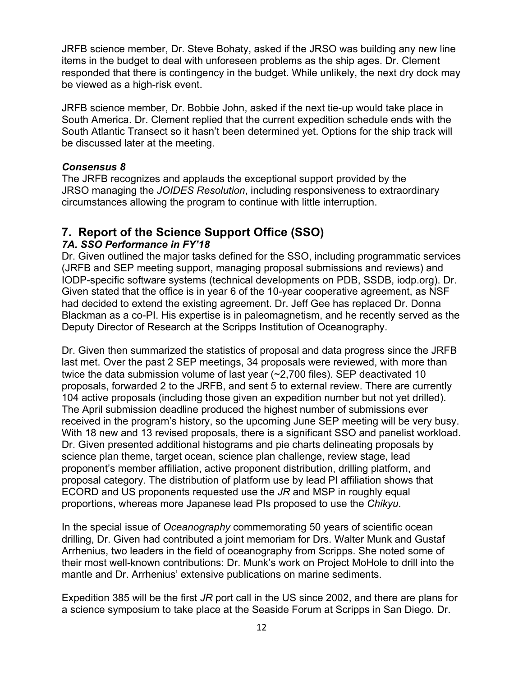JRFB science member, Dr. Steve Bohaty, asked if the JRSO was building any new line items in the budget to deal with unforeseen problems as the ship ages. Dr. Clement responded that there is contingency in the budget. While unlikely, the next dry dock may be viewed as a high-risk event.

JRFB science member, Dr. Bobbie John, asked if the next tie-up would take place in South America. Dr. Clement replied that the current expedition schedule ends with the South Atlantic Transect so it hasn't been determined yet. Options for the ship track will be discussed later at the meeting.

## *Consensus 8*

The JRFB recognizes and applauds the exceptional support provided by the JRSO managing the *JOIDES Resolution*, including responsiveness to extraordinary circumstances allowing the program to continue with little interruption.

# **7. Report of the Science Support Office (SSO)**

## *7A. SSO Performance in FY'18*

Dr. Given outlined the major tasks defined for the SSO, including programmatic services (JRFB and SEP meeting support, managing proposal submissions and reviews) and IODP-specific software systems (technical developments on PDB, SSDB, iodp.org). Dr. Given stated that the office is in year 6 of the 10-year cooperative agreement, as NSF had decided to extend the existing agreement. Dr. Jeff Gee has replaced Dr. Donna Blackman as a co-PI. His expertise is in paleomagnetism, and he recently served as the Deputy Director of Research at the Scripps Institution of Oceanography.

Dr. Given then summarized the statistics of proposal and data progress since the JRFB last met. Over the past 2 SEP meetings, 34 proposals were reviewed, with more than twice the data submission volume of last year (~2,700 files). SEP deactivated 10 proposals, forwarded 2 to the JRFB, and sent 5 to external review. There are currently 104 active proposals (including those given an expedition number but not yet drilled). The April submission deadline produced the highest number of submissions ever received in the program's history, so the upcoming June SEP meeting will be very busy. With 18 new and 13 revised proposals, there is a significant SSO and panelist workload. Dr. Given presented additional histograms and pie charts delineating proposals by science plan theme, target ocean, science plan challenge, review stage, lead proponent's member affiliation, active proponent distribution, drilling platform, and proposal category. The distribution of platform use by lead PI affiliation shows that ECORD and US proponents requested use the *JR* and MSP in roughly equal proportions, whereas more Japanese lead PIs proposed to use the *Chikyu*.

In the special issue of *Oceanography* commemorating 50 years of scientific ocean drilling, Dr. Given had contributed a joint memoriam for Drs. Walter Munk and Gustaf Arrhenius, two leaders in the field of oceanography from Scripps. She noted some of their most well-known contributions: Dr. Munk's work on Project MoHole to drill into the mantle and Dr. Arrhenius' extensive publications on marine sediments.

Expedition 385 will be the first *JR* port call in the US since 2002, and there are plans for a science symposium to take place at the Seaside Forum at Scripps in San Diego. Dr.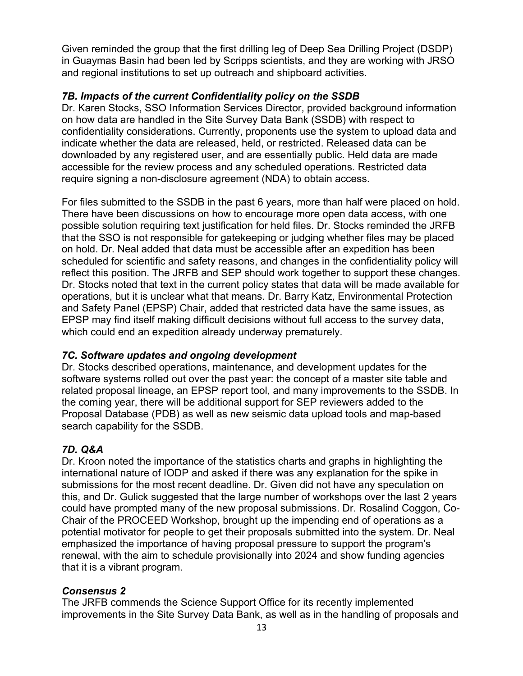Given reminded the group that the first drilling leg of Deep Sea Drilling Project (DSDP) in Guaymas Basin had been led by Scripps scientists, and they are working with JRSO and regional institutions to set up outreach and shipboard activities.

## *7B. Impacts of the current Confidentiality policy on the SSDB*

Dr. Karen Stocks, SSO Information Services Director, provided background information on how data are handled in the Site Survey Data Bank (SSDB) with respect to confidentiality considerations. Currently, proponents use the system to upload data and indicate whether the data are released, held, or restricted. Released data can be downloaded by any registered user, and are essentially public. Held data are made accessible for the review process and any scheduled operations. Restricted data require signing a non-disclosure agreement (NDA) to obtain access.

For files submitted to the SSDB in the past 6 years, more than half were placed on hold. There have been discussions on how to encourage more open data access, with one possible solution requiring text justification for held files. Dr. Stocks reminded the JRFB that the SSO is not responsible for gatekeeping or judging whether files may be placed on hold. Dr. Neal added that data must be accessible after an expedition has been scheduled for scientific and safety reasons, and changes in the confidentiality policy will reflect this position. The JRFB and SEP should work together to support these changes. Dr. Stocks noted that text in the current policy states that data will be made available for operations, but it is unclear what that means. Dr. Barry Katz, Environmental Protection and Safety Panel (EPSP) Chair, added that restricted data have the same issues, as EPSP may find itself making difficult decisions without full access to the survey data, which could end an expedition already underway prematurely.

#### *7C. Software updates and ongoing development*

Dr. Stocks described operations, maintenance, and development updates for the software systems rolled out over the past year: the concept of a master site table and related proposal lineage, an EPSP report tool, and many improvements to the SSDB. In the coming year, there will be additional support for SEP reviewers added to the Proposal Database (PDB) as well as new seismic data upload tools and map-based search capability for the SSDB.

## *7D. Q&A*

Dr. Kroon noted the importance of the statistics charts and graphs in highlighting the international nature of IODP and asked if there was any explanation for the spike in submissions for the most recent deadline. Dr. Given did not have any speculation on this, and Dr. Gulick suggested that the large number of workshops over the last 2 years could have prompted many of the new proposal submissions. Dr. Rosalind Coggon, Co-Chair of the PROCEED Workshop, brought up the impending end of operations as a potential motivator for people to get their proposals submitted into the system. Dr. Neal emphasized the importance of having proposal pressure to support the program's renewal, with the aim to schedule provisionally into 2024 and show funding agencies that it is a vibrant program.

## *Consensus 2*

The JRFB commends the Science Support Office for its recently implemented improvements in the Site Survey Data Bank, as well as in the handling of proposals and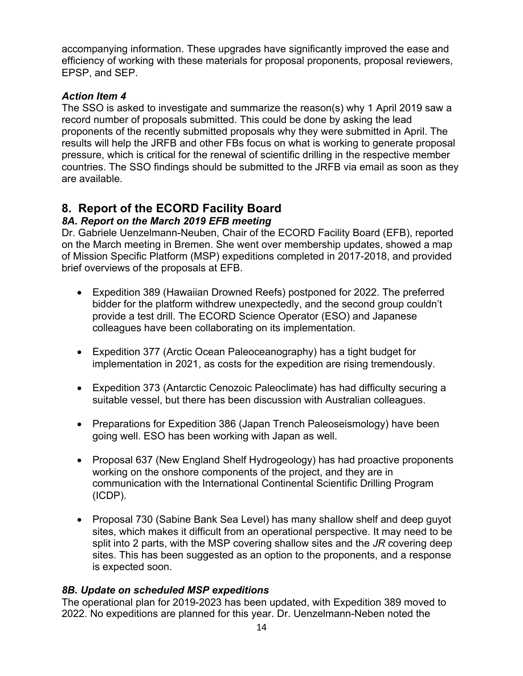accompanying information. These upgrades have significantly improved the ease and efficiency of working with these materials for proposal proponents, proposal reviewers, EPSP, and SEP.

## *Action Item 4*

The SSO is asked to investigate and summarize the reason(s) why 1 April 2019 saw a record number of proposals submitted. This could be done by asking the lead proponents of the recently submitted proposals why they were submitted in April. The results will help the JRFB and other FBs focus on what is working to generate proposal pressure, which is critical for the renewal of scientific drilling in the respective member countries. The SSO findings should be submitted to the JRFB via email as soon as they are available.

# **8. Report of the ECORD Facility Board**

## *8A. Report on the March 2019 EFB meeting*

Dr. Gabriele Uenzelmann-Neuben, Chair of the ECORD Facility Board (EFB), reported on the March meeting in Bremen. She went over membership updates, showed a map of Mission Specific Platform (MSP) expeditions completed in 2017-2018, and provided brief overviews of the proposals at EFB.

- Expedition 389 (Hawaiian Drowned Reefs) postponed for 2022. The preferred bidder for the platform withdrew unexpectedly, and the second group couldn't provide a test drill. The ECORD Science Operator (ESO) and Japanese colleagues have been collaborating on its implementation.
- Expedition 377 (Arctic Ocean Paleoceanography) has a tight budget for implementation in 2021, as costs for the expedition are rising tremendously.
- Expedition 373 (Antarctic Cenozoic Paleoclimate) has had difficulty securing a suitable vessel, but there has been discussion with Australian colleagues.
- Preparations for Expedition 386 (Japan Trench Paleoseismology) have been going well. ESO has been working with Japan as well.
- Proposal 637 (New England Shelf Hydrogeology) has had proactive proponents working on the onshore components of the project, and they are in communication with the International Continental Scientific Drilling Program (ICDP).
- Proposal 730 (Sabine Bank Sea Level) has many shallow shelf and deep guyot sites, which makes it difficult from an operational perspective. It may need to be split into 2 parts, with the MSP covering shallow sites and the *JR* covering deep sites. This has been suggested as an option to the proponents, and a response is expected soon.

#### *8B. Update on scheduled MSP expeditions*

The operational plan for 2019-2023 has been updated, with Expedition 389 moved to 2022. No expeditions are planned for this year. Dr. Uenzelmann-Neben noted the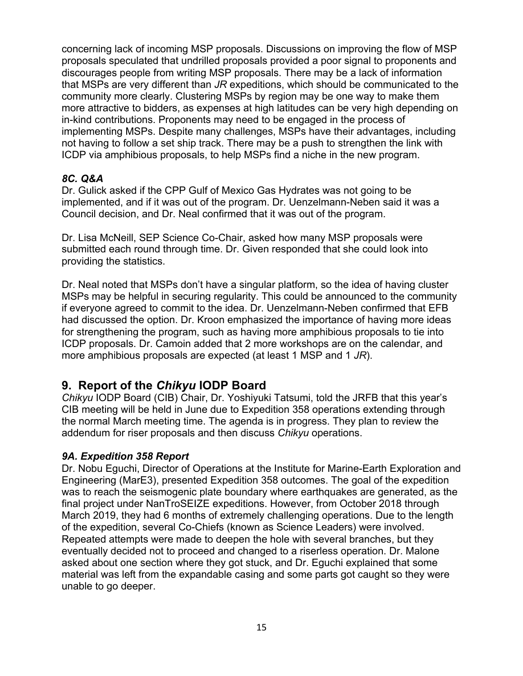concerning lack of incoming MSP proposals. Discussions on improving the flow of MSP proposals speculated that undrilled proposals provided a poor signal to proponents and discourages people from writing MSP proposals. There may be a lack of information that MSPs are very different than *JR* expeditions, which should be communicated to the community more clearly. Clustering MSPs by region may be one way to make them more attractive to bidders, as expenses at high latitudes can be very high depending on in-kind contributions. Proponents may need to be engaged in the process of implementing MSPs. Despite many challenges, MSPs have their advantages, including not having to follow a set ship track. There may be a push to strengthen the link with ICDP via amphibious proposals, to help MSPs find a niche in the new program.

## *8C. Q&A*

Dr. Gulick asked if the CPP Gulf of Mexico Gas Hydrates was not going to be implemented, and if it was out of the program. Dr. Uenzelmann-Neben said it was a Council decision, and Dr. Neal confirmed that it was out of the program.

Dr. Lisa McNeill, SEP Science Co-Chair, asked how many MSP proposals were submitted each round through time. Dr. Given responded that she could look into providing the statistics.

Dr. Neal noted that MSPs don't have a singular platform, so the idea of having cluster MSPs may be helpful in securing regularity. This could be announced to the community if everyone agreed to commit to the idea. Dr. Uenzelmann-Neben confirmed that EFB had discussed the option. Dr. Kroon emphasized the importance of having more ideas for strengthening the program, such as having more amphibious proposals to tie into ICDP proposals. Dr. Camoin added that 2 more workshops are on the calendar, and more amphibious proposals are expected (at least 1 MSP and 1 *JR*).

# **9. Report of the** *Chikyu* **IODP Board**

*Chikyu* IODP Board (CIB) Chair, Dr. Yoshiyuki Tatsumi, told the JRFB that this year's CIB meeting will be held in June due to Expedition 358 operations extending through the normal March meeting time. The agenda is in progress. They plan to review the addendum for riser proposals and then discuss *Chikyu* operations.

## *9A. Expedition 358 Report*

Dr. Nobu Eguchi, Director of Operations at the Institute for Marine-Earth Exploration and Engineering (MarE3), presented Expedition 358 outcomes. The goal of the expedition was to reach the seismogenic plate boundary where earthquakes are generated, as the final project under NanTroSEIZE expeditions. However, from October 2018 through March 2019, they had 6 months of extremely challenging operations. Due to the length of the expedition, several Co-Chiefs (known as Science Leaders) were involved. Repeated attempts were made to deepen the hole with several branches, but they eventually decided not to proceed and changed to a riserless operation. Dr. Malone asked about one section where they got stuck, and Dr. Eguchi explained that some material was left from the expandable casing and some parts got caught so they were unable to go deeper.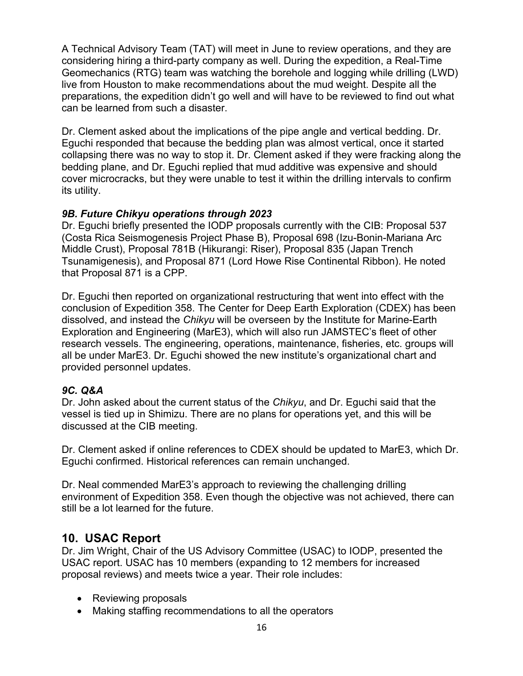A Technical Advisory Team (TAT) will meet in June to review operations, and they are considering hiring a third-party company as well. During the expedition, a Real-Time Geomechanics (RTG) team was watching the borehole and logging while drilling (LWD) live from Houston to make recommendations about the mud weight. Despite all the preparations, the expedition didn't go well and will have to be reviewed to find out what can be learned from such a disaster.

Dr. Clement asked about the implications of the pipe angle and vertical bedding. Dr. Eguchi responded that because the bedding plan was almost vertical, once it started collapsing there was no way to stop it. Dr. Clement asked if they were fracking along the bedding plane, and Dr. Eguchi replied that mud additive was expensive and should cover microcracks, but they were unable to test it within the drilling intervals to confirm its utility.

## *9B. Future Chikyu operations through 2023*

Dr. Eguchi briefly presented the IODP proposals currently with the CIB: Proposal 537 (Costa Rica Seismogenesis Project Phase B), Proposal 698 (Izu-Bonin-Mariana Arc Middle Crust), Proposal 781B (Hikurangi: Riser), Proposal 835 (Japan Trench Tsunamigenesis), and Proposal 871 (Lord Howe Rise Continental Ribbon). He noted that Proposal 871 is a CPP.

Dr. Eguchi then reported on organizational restructuring that went into effect with the conclusion of Expedition 358. The Center for Deep Earth Exploration (CDEX) has been dissolved, and instead the *Chikyu* will be overseen by the Institute for Marine-Earth Exploration and Engineering (MarE3), which will also run JAMSTEC's fleet of other research vessels. The engineering, operations, maintenance, fisheries, etc. groups will all be under MarE3. Dr. Eguchi showed the new institute's organizational chart and provided personnel updates.

# *9C. Q&A*

Dr. John asked about the current status of the *Chikyu*, and Dr. Eguchi said that the vessel is tied up in Shimizu. There are no plans for operations yet, and this will be discussed at the CIB meeting.

Dr. Clement asked if online references to CDEX should be updated to MarE3, which Dr. Eguchi confirmed. Historical references can remain unchanged.

Dr. Neal commended MarE3's approach to reviewing the challenging drilling environment of Expedition 358. Even though the objective was not achieved, there can still be a lot learned for the future.

# **10. USAC Report**

Dr. Jim Wright, Chair of the US Advisory Committee (USAC) to IODP, presented the USAC report. USAC has 10 members (expanding to 12 members for increased proposal reviews) and meets twice a year. Their role includes:

- Reviewing proposals
- Making staffing recommendations to all the operators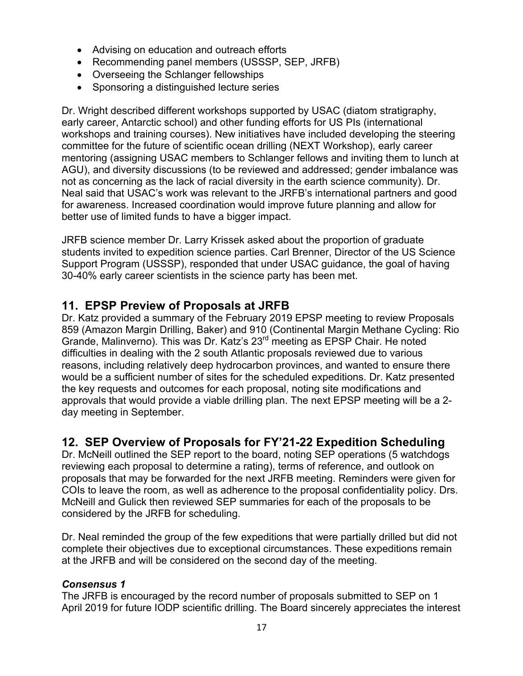- Advising on education and outreach efforts
- Recommending panel members (USSSP, SEP, JRFB)
- Overseeing the Schlanger fellowships
- Sponsoring a distinguished lecture series

Dr. Wright described different workshops supported by USAC (diatom stratigraphy, early career, Antarctic school) and other funding efforts for US PIs (international workshops and training courses). New initiatives have included developing the steering committee for the future of scientific ocean drilling (NEXT Workshop), early career mentoring (assigning USAC members to Schlanger fellows and inviting them to lunch at AGU), and diversity discussions (to be reviewed and addressed; gender imbalance was not as concerning as the lack of racial diversity in the earth science community). Dr. Neal said that USAC's work was relevant to the JRFB's international partners and good for awareness. Increased coordination would improve future planning and allow for better use of limited funds to have a bigger impact.

JRFB science member Dr. Larry Krissek asked about the proportion of graduate students invited to expedition science parties. Carl Brenner, Director of the US Science Support Program (USSSP), responded that under USAC guidance, the goal of having 30-40% early career scientists in the science party has been met.

# **11. EPSP Preview of Proposals at JRFB**

Dr. Katz provided a summary of the February 2019 EPSP meeting to review Proposals 859 (Amazon Margin Drilling, Baker) and 910 (Continental Margin Methane Cycling: Rio Grande, Malinverno). This was Dr. Katz's 23rd meeting as EPSP Chair. He noted difficulties in dealing with the 2 south Atlantic proposals reviewed due to various reasons, including relatively deep hydrocarbon provinces, and wanted to ensure there would be a sufficient number of sites for the scheduled expeditions. Dr. Katz presented the key requests and outcomes for each proposal, noting site modifications and approvals that would provide a viable drilling plan. The next EPSP meeting will be a 2 day meeting in September.

# **12. SEP Overview of Proposals for FY'21-22 Expedition Scheduling**

Dr. McNeill outlined the SEP report to the board, noting SEP operations (5 watchdogs reviewing each proposal to determine a rating), terms of reference, and outlook on proposals that may be forwarded for the next JRFB meeting. Reminders were given for COIs to leave the room, as well as adherence to the proposal confidentiality policy. Drs. McNeill and Gulick then reviewed SEP summaries for each of the proposals to be considered by the JRFB for scheduling.

Dr. Neal reminded the group of the few expeditions that were partially drilled but did not complete their objectives due to exceptional circumstances. These expeditions remain at the JRFB and will be considered on the second day of the meeting.

## *Consensus 1*

The JRFB is encouraged by the record number of proposals submitted to SEP on 1 April 2019 for future IODP scientific drilling. The Board sincerely appreciates the interest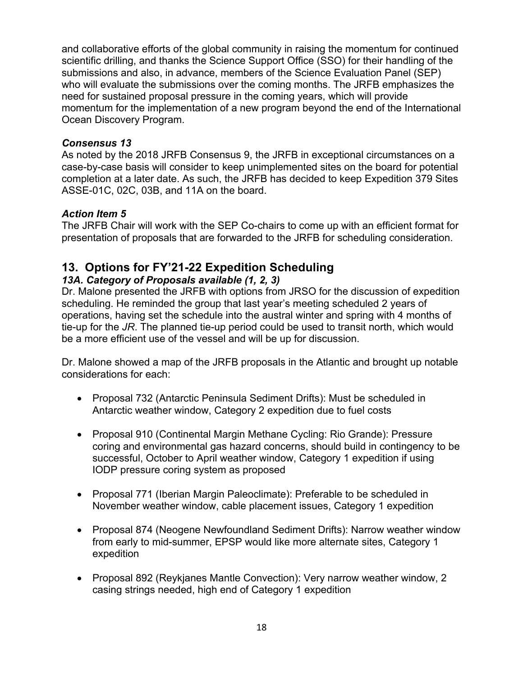and collaborative efforts of the global community in raising the momentum for continued scientific drilling, and thanks the Science Support Office (SSO) for their handling of the submissions and also, in advance, members of the Science Evaluation Panel (SEP) who will evaluate the submissions over the coming months. The JRFB emphasizes the need for sustained proposal pressure in the coming years, which will provide momentum for the implementation of a new program beyond the end of the International Ocean Discovery Program.

## *Consensus 13*

As noted by the 2018 JRFB Consensus 9, the JRFB in exceptional circumstances on a case-by-case basis will consider to keep unimplemented sites on the board for potential completion at a later date. As such, the JRFB has decided to keep Expedition 379 Sites ASSE-01C, 02C, 03B, and 11A on the board.

## *Action Item 5*

The JRFB Chair will work with the SEP Co-chairs to come up with an efficient format for presentation of proposals that are forwarded to the JRFB for scheduling consideration.

# **13. Options for FY'21-22 Expedition Scheduling**

## *13A. Category of Proposals available (1, 2, 3)*

Dr. Malone presented the JRFB with options from JRSO for the discussion of expedition scheduling. He reminded the group that last year's meeting scheduled 2 years of operations, having set the schedule into the austral winter and spring with 4 months of tie-up for the *JR*. The planned tie-up period could be used to transit north, which would be a more efficient use of the vessel and will be up for discussion.

Dr. Malone showed a map of the JRFB proposals in the Atlantic and brought up notable considerations for each:

- Proposal 732 (Antarctic Peninsula Sediment Drifts): Must be scheduled in Antarctic weather window, Category 2 expedition due to fuel costs
- Proposal 910 (Continental Margin Methane Cycling: Rio Grande): Pressure coring and environmental gas hazard concerns, should build in contingency to be successful, October to April weather window, Category 1 expedition if using IODP pressure coring system as proposed
- Proposal 771 (Iberian Margin Paleoclimate): Preferable to be scheduled in November weather window, cable placement issues, Category 1 expedition
- Proposal 874 (Neogene Newfoundland Sediment Drifts): Narrow weather window from early to mid-summer, EPSP would like more alternate sites, Category 1 expedition
- Proposal 892 (Reykjanes Mantle Convection): Very narrow weather window, 2 casing strings needed, high end of Category 1 expedition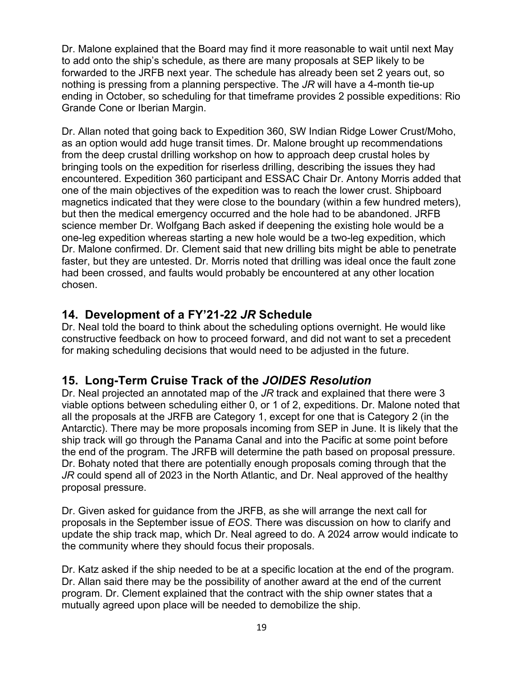Dr. Malone explained that the Board may find it more reasonable to wait until next May to add onto the ship's schedule, as there are many proposals at SEP likely to be forwarded to the JRFB next year. The schedule has already been set 2 years out, so nothing is pressing from a planning perspective. The *JR* will have a 4-month tie-up ending in October, so scheduling for that timeframe provides 2 possible expeditions: Rio Grande Cone or Iberian Margin.

Dr. Allan noted that going back to Expedition 360, SW Indian Ridge Lower Crust/Moho, as an option would add huge transit times. Dr. Malone brought up recommendations from the deep crustal drilling workshop on how to approach deep crustal holes by bringing tools on the expedition for riserless drilling, describing the issues they had encountered. Expedition 360 participant and ESSAC Chair Dr. Antony Morris added that one of the main objectives of the expedition was to reach the lower crust. Shipboard magnetics indicated that they were close to the boundary (within a few hundred meters), but then the medical emergency occurred and the hole had to be abandoned. JRFB science member Dr. Wolfgang Bach asked if deepening the existing hole would be a one-leg expedition whereas starting a new hole would be a two-leg expedition, which Dr. Malone confirmed. Dr. Clement said that new drilling bits might be able to penetrate faster, but they are untested. Dr. Morris noted that drilling was ideal once the fault zone had been crossed, and faults would probably be encountered at any other location chosen.

# **14. Development of a FY'21-22** *JR* **Schedule**

Dr. Neal told the board to think about the scheduling options overnight. He would like constructive feedback on how to proceed forward, and did not want to set a precedent for making scheduling decisions that would need to be adjusted in the future.

# **15. Long-Term Cruise Track of the** *JOIDES Resolution*

Dr. Neal projected an annotated map of the *JR* track and explained that there were 3 viable options between scheduling either 0, or 1 of 2, expeditions. Dr. Malone noted that all the proposals at the JRFB are Category 1, except for one that is Category 2 (in the Antarctic). There may be more proposals incoming from SEP in June. It is likely that the ship track will go through the Panama Canal and into the Pacific at some point before the end of the program. The JRFB will determine the path based on proposal pressure. Dr. Bohaty noted that there are potentially enough proposals coming through that the *JR* could spend all of 2023 in the North Atlantic, and Dr. Neal approved of the healthy proposal pressure.

Dr. Given asked for guidance from the JRFB, as she will arrange the next call for proposals in the September issue of *EOS*. There was discussion on how to clarify and update the ship track map, which Dr. Neal agreed to do. A 2024 arrow would indicate to the community where they should focus their proposals.

Dr. Katz asked if the ship needed to be at a specific location at the end of the program. Dr. Allan said there may be the possibility of another award at the end of the current program. Dr. Clement explained that the contract with the ship owner states that a mutually agreed upon place will be needed to demobilize the ship.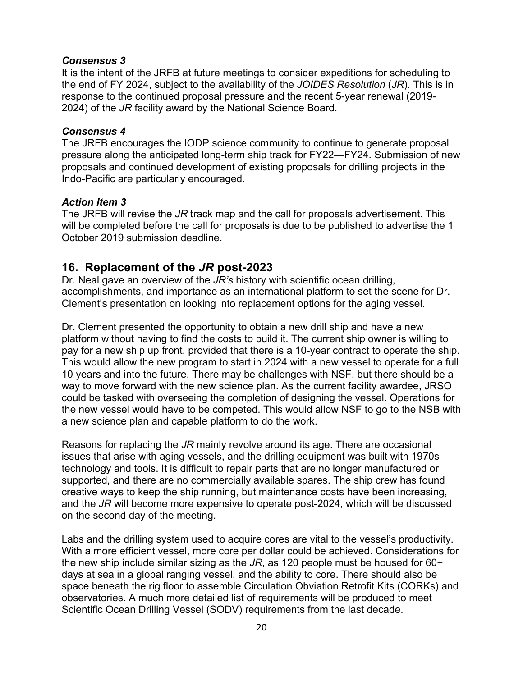#### *Consensus 3*

It is the intent of the JRFB at future meetings to consider expeditions for scheduling to the end of FY 2024, subject to the availability of the *JOIDES Resolution* (*JR*). This is in response to the continued proposal pressure and the recent 5-year renewal (2019- 2024) of the *JR* facility award by the National Science Board.

#### *Consensus 4*

The JRFB encourages the IODP science community to continue to generate proposal pressure along the anticipated long-term ship track for FY22—FY24. Submission of new proposals and continued development of existing proposals for drilling projects in the Indo-Pacific are particularly encouraged.

#### *Action Item 3*

The JRFB will revise the *JR* track map and the call for proposals advertisement. This will be completed before the call for proposals is due to be published to advertise the 1 October 2019 submission deadline.

## **16. Replacement of the** *JR* **post-2023**

Dr. Neal gave an overview of the *JR's* history with scientific ocean drilling, accomplishments, and importance as an international platform to set the scene for Dr. Clement's presentation on looking into replacement options for the aging vessel.

Dr. Clement presented the opportunity to obtain a new drill ship and have a new platform without having to find the costs to build it. The current ship owner is willing to pay for a new ship up front, provided that there is a 10-year contract to operate the ship. This would allow the new program to start in 2024 with a new vessel to operate for a full 10 years and into the future. There may be challenges with NSF, but there should be a way to move forward with the new science plan. As the current facility awardee, JRSO could be tasked with overseeing the completion of designing the vessel. Operations for the new vessel would have to be competed. This would allow NSF to go to the NSB with a new science plan and capable platform to do the work.

Reasons for replacing the *JR* mainly revolve around its age. There are occasional issues that arise with aging vessels, and the drilling equipment was built with 1970s technology and tools. It is difficult to repair parts that are no longer manufactured or supported, and there are no commercially available spares. The ship crew has found creative ways to keep the ship running, but maintenance costs have been increasing, and the *JR* will become more expensive to operate post-2024, which will be discussed on the second day of the meeting.

Labs and the drilling system used to acquire cores are vital to the vessel's productivity. With a more efficient vessel, more core per dollar could be achieved. Considerations for the new ship include similar sizing as the *JR*, as 120 people must be housed for 60+ days at sea in a global ranging vessel, and the ability to core. There should also be space beneath the rig floor to assemble Circulation Obviation Retrofit Kits (CORKs) and observatories. A much more detailed list of requirements will be produced to meet Scientific Ocean Drilling Vessel (SODV) requirements from the last decade.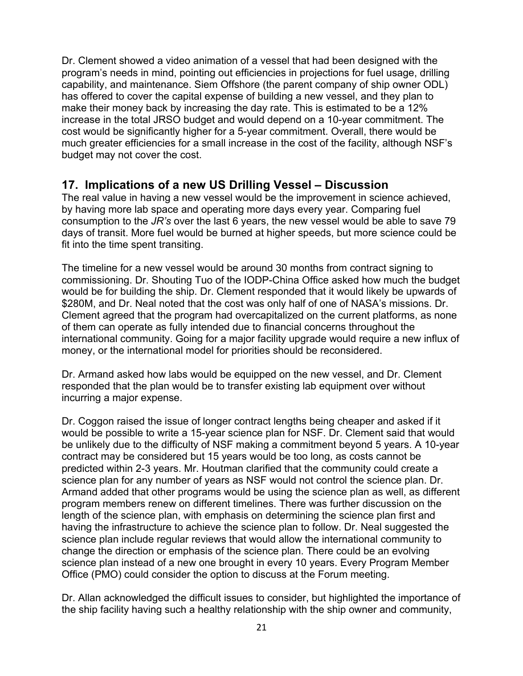Dr. Clement showed a video animation of a vessel that had been designed with the program's needs in mind, pointing out efficiencies in projections for fuel usage, drilling capability, and maintenance. Siem Offshore (the parent company of ship owner ODL) has offered to cover the capital expense of building a new vessel, and they plan to make their money back by increasing the day rate. This is estimated to be a 12% increase in the total JRSO budget and would depend on a 10-year commitment. The cost would be significantly higher for a 5-year commitment. Overall, there would be much greater efficiencies for a small increase in the cost of the facility, although NSF's budget may not cover the cost.

# **17. Implications of a new US Drilling Vessel – Discussion**

The real value in having a new vessel would be the improvement in science achieved, by having more lab space and operating more days every year. Comparing fuel consumption to the *JR's* over the last 6 years, the new vessel would be able to save 79 days of transit. More fuel would be burned at higher speeds, but more science could be fit into the time spent transiting.

The timeline for a new vessel would be around 30 months from contract signing to commissioning. Dr. Shouting Tuo of the IODP-China Office asked how much the budget would be for building the ship. Dr. Clement responded that it would likely be upwards of \$280M, and Dr. Neal noted that the cost was only half of one of NASA's missions. Dr. Clement agreed that the program had overcapitalized on the current platforms, as none of them can operate as fully intended due to financial concerns throughout the international community. Going for a major facility upgrade would require a new influx of money, or the international model for priorities should be reconsidered.

Dr. Armand asked how labs would be equipped on the new vessel, and Dr. Clement responded that the plan would be to transfer existing lab equipment over without incurring a major expense.

Dr. Coggon raised the issue of longer contract lengths being cheaper and asked if it would be possible to write a 15-year science plan for NSF. Dr. Clement said that would be unlikely due to the difficulty of NSF making a commitment beyond 5 years. A 10-year contract may be considered but 15 years would be too long, as costs cannot be predicted within 2-3 years. Mr. Houtman clarified that the community could create a science plan for any number of years as NSF would not control the science plan. Dr. Armand added that other programs would be using the science plan as well, as different program members renew on different timelines. There was further discussion on the length of the science plan, with emphasis on determining the science plan first and having the infrastructure to achieve the science plan to follow. Dr. Neal suggested the science plan include regular reviews that would allow the international community to change the direction or emphasis of the science plan. There could be an evolving science plan instead of a new one brought in every 10 years. Every Program Member Office (PMO) could consider the option to discuss at the Forum meeting.

Dr. Allan acknowledged the difficult issues to consider, but highlighted the importance of the ship facility having such a healthy relationship with the ship owner and community,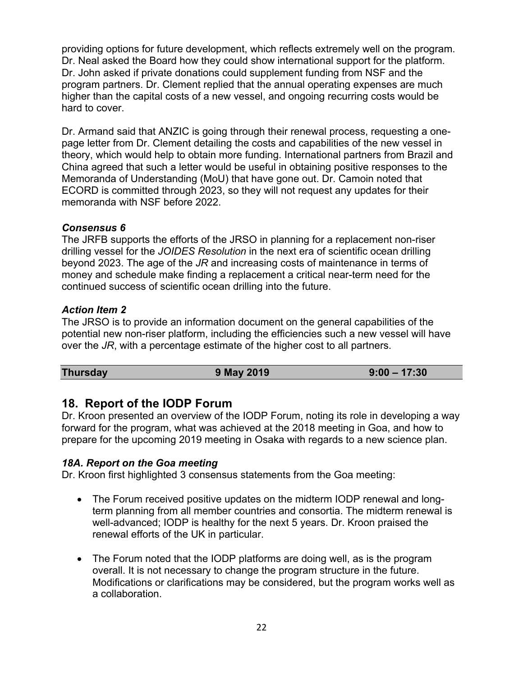providing options for future development, which reflects extremely well on the program. Dr. Neal asked the Board how they could show international support for the platform. Dr. John asked if private donations could supplement funding from NSF and the program partners. Dr. Clement replied that the annual operating expenses are much higher than the capital costs of a new vessel, and ongoing recurring costs would be hard to cover.

Dr. Armand said that ANZIC is going through their renewal process, requesting a onepage letter from Dr. Clement detailing the costs and capabilities of the new vessel in theory, which would help to obtain more funding. International partners from Brazil and China agreed that such a letter would be useful in obtaining positive responses to the Memoranda of Understanding (MoU) that have gone out. Dr. Camoin noted that ECORD is committed through 2023, so they will not request any updates for their memoranda with NSF before 2022.

#### *Consensus 6*

The JRFB supports the efforts of the JRSO in planning for a replacement non-riser drilling vessel for the *JOIDES Resolution* in the next era of scientific ocean drilling beyond 2023. The age of the *JR* and increasing costs of maintenance in terms of money and schedule make finding a replacement a critical near-term need for the continued success of scientific ocean drilling into the future.

## *Action Item 2*

The JRSO is to provide an information document on the general capabilities of the potential new non-riser platform, including the efficiencies such a new vessel will have over the *JR*, with a percentage estimate of the higher cost to all partners.

| <b>Thursday</b> | 9 May 2019 | $9:00 - 17:30$ |
|-----------------|------------|----------------|

# **18. Report of the IODP Forum**

Dr. Kroon presented an overview of the IODP Forum, noting its role in developing a way forward for the program, what was achieved at the 2018 meeting in Goa, and how to prepare for the upcoming 2019 meeting in Osaka with regards to a new science plan.

#### *18A. Report on the Goa meeting*

Dr. Kroon first highlighted 3 consensus statements from the Goa meeting:

- The Forum received positive updates on the midterm IODP renewal and longterm planning from all member countries and consortia. The midterm renewal is well-advanced; IODP is healthy for the next 5 years. Dr. Kroon praised the renewal efforts of the UK in particular.
- The Forum noted that the IODP platforms are doing well, as is the program overall. It is not necessary to change the program structure in the future. Modifications or clarifications may be considered, but the program works well as a collaboration.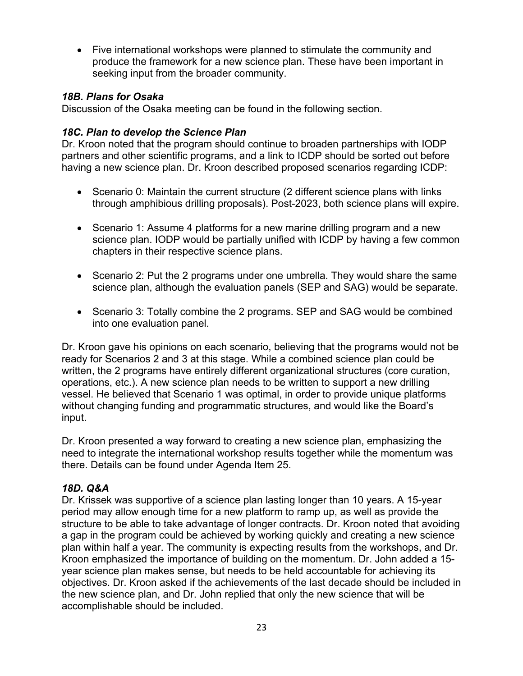• Five international workshops were planned to stimulate the community and produce the framework for a new science plan. These have been important in seeking input from the broader community.

## *18B. Plans for Osaka*

Discussion of the Osaka meeting can be found in the following section.

## *18C. Plan to develop the Science Plan*

Dr. Kroon noted that the program should continue to broaden partnerships with IODP partners and other scientific programs, and a link to ICDP should be sorted out before having a new science plan. Dr. Kroon described proposed scenarios regarding ICDP:

- Scenario 0: Maintain the current structure (2 different science plans with links through amphibious drilling proposals). Post-2023, both science plans will expire.
- Scenario 1: Assume 4 platforms for a new marine drilling program and a new science plan. IODP would be partially unified with ICDP by having a few common chapters in their respective science plans.
- Scenario 2: Put the 2 programs under one umbrella. They would share the same science plan, although the evaluation panels (SEP and SAG) would be separate.
- Scenario 3: Totally combine the 2 programs. SEP and SAG would be combined into one evaluation panel.

Dr. Kroon gave his opinions on each scenario, believing that the programs would not be ready for Scenarios 2 and 3 at this stage. While a combined science plan could be written, the 2 programs have entirely different organizational structures (core curation, operations, etc.). A new science plan needs to be written to support a new drilling vessel. He believed that Scenario 1 was optimal, in order to provide unique platforms without changing funding and programmatic structures, and would like the Board's input.

Dr. Kroon presented a way forward to creating a new science plan, emphasizing the need to integrate the international workshop results together while the momentum was there. Details can be found under Agenda Item 25.

## *18D. Q&A*

Dr. Krissek was supportive of a science plan lasting longer than 10 years. A 15-year period may allow enough time for a new platform to ramp up, as well as provide the structure to be able to take advantage of longer contracts. Dr. Kroon noted that avoiding a gap in the program could be achieved by working quickly and creating a new science plan within half a year. The community is expecting results from the workshops, and Dr. Kroon emphasized the importance of building on the momentum. Dr. John added a 15 year science plan makes sense, but needs to be held accountable for achieving its objectives. Dr. Kroon asked if the achievements of the last decade should be included in the new science plan, and Dr. John replied that only the new science that will be accomplishable should be included.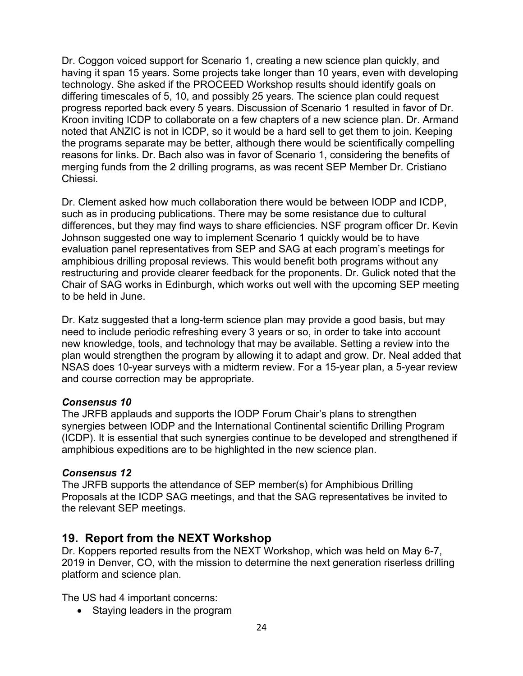Dr. Coggon voiced support for Scenario 1, creating a new science plan quickly, and having it span 15 years. Some projects take longer than 10 years, even with developing technology. She asked if the PROCEED Workshop results should identify goals on differing timescales of 5, 10, and possibly 25 years. The science plan could request progress reported back every 5 years. Discussion of Scenario 1 resulted in favor of Dr. Kroon inviting ICDP to collaborate on a few chapters of a new science plan. Dr. Armand noted that ANZIC is not in ICDP, so it would be a hard sell to get them to join. Keeping the programs separate may be better, although there would be scientifically compelling reasons for links. Dr. Bach also was in favor of Scenario 1, considering the benefits of merging funds from the 2 drilling programs, as was recent SEP Member Dr. Cristiano Chiessi.

Dr. Clement asked how much collaboration there would be between IODP and ICDP, such as in producing publications. There may be some resistance due to cultural differences, but they may find ways to share efficiencies. NSF program officer Dr. Kevin Johnson suggested one way to implement Scenario 1 quickly would be to have evaluation panel representatives from SEP and SAG at each program's meetings for amphibious drilling proposal reviews. This would benefit both programs without any restructuring and provide clearer feedback for the proponents. Dr. Gulick noted that the Chair of SAG works in Edinburgh, which works out well with the upcoming SEP meeting to be held in June.

Dr. Katz suggested that a long-term science plan may provide a good basis, but may need to include periodic refreshing every 3 years or so, in order to take into account new knowledge, tools, and technology that may be available. Setting a review into the plan would strengthen the program by allowing it to adapt and grow. Dr. Neal added that NSAS does 10-year surveys with a midterm review. For a 15-year plan, a 5-year review and course correction may be appropriate.

#### *Consensus 10*

The JRFB applauds and supports the IODP Forum Chair's plans to strengthen synergies between IODP and the International Continental scientific Drilling Program (ICDP). It is essential that such synergies continue to be developed and strengthened if amphibious expeditions are to be highlighted in the new science plan.

## *Consensus 12*

The JRFB supports the attendance of SEP member(s) for Amphibious Drilling Proposals at the ICDP SAG meetings, and that the SAG representatives be invited to the relevant SEP meetings.

# **19. Report from the NEXT Workshop**

Dr. Koppers reported results from the NEXT Workshop, which was held on May 6-7, 2019 in Denver, CO, with the mission to determine the next generation riserless drilling platform and science plan.

The US had 4 important concerns:

• Staying leaders in the program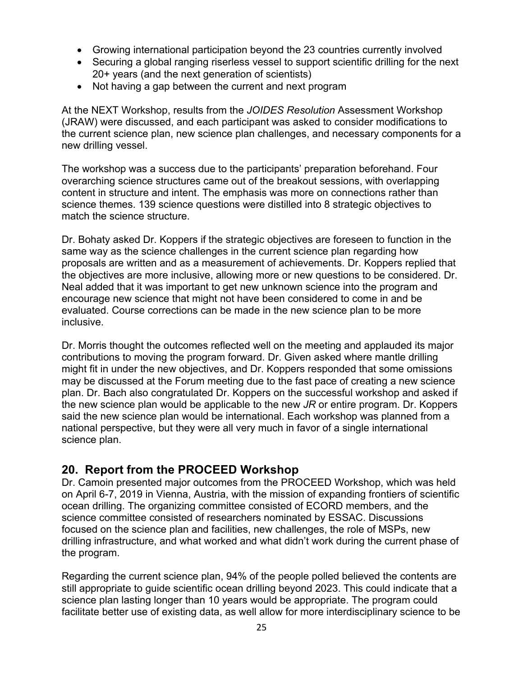- Growing international participation beyond the 23 countries currently involved
- Securing a global ranging riserless vessel to support scientific drilling for the next 20+ years (and the next generation of scientists)
- Not having a gap between the current and next program

At the NEXT Workshop, results from the *JOIDES Resolution* Assessment Workshop (JRAW) were discussed, and each participant was asked to consider modifications to the current science plan, new science plan challenges, and necessary components for a new drilling vessel.

The workshop was a success due to the participants' preparation beforehand. Four overarching science structures came out of the breakout sessions, with overlapping content in structure and intent. The emphasis was more on connections rather than science themes. 139 science questions were distilled into 8 strategic objectives to match the science structure.

Dr. Bohaty asked Dr. Koppers if the strategic objectives are foreseen to function in the same way as the science challenges in the current science plan regarding how proposals are written and as a measurement of achievements. Dr. Koppers replied that the objectives are more inclusive, allowing more or new questions to be considered. Dr. Neal added that it was important to get new unknown science into the program and encourage new science that might not have been considered to come in and be evaluated. Course corrections can be made in the new science plan to be more inclusive.

Dr. Morris thought the outcomes reflected well on the meeting and applauded its major contributions to moving the program forward. Dr. Given asked where mantle drilling might fit in under the new objectives, and Dr. Koppers responded that some omissions may be discussed at the Forum meeting due to the fast pace of creating a new science plan. Dr. Bach also congratulated Dr. Koppers on the successful workshop and asked if the new science plan would be applicable to the new *JR* or entire program. Dr. Koppers said the new science plan would be international. Each workshop was planned from a national perspective, but they were all very much in favor of a single international science plan.

# **20. Report from the PROCEED Workshop**

Dr. Camoin presented major outcomes from the PROCEED Workshop, which was held on April 6-7, 2019 in Vienna, Austria, with the mission of expanding frontiers of scientific ocean drilling. The organizing committee consisted of ECORD members, and the science committee consisted of researchers nominated by ESSAC. Discussions focused on the science plan and facilities, new challenges, the role of MSPs, new drilling infrastructure, and what worked and what didn't work during the current phase of the program.

Regarding the current science plan, 94% of the people polled believed the contents are still appropriate to guide scientific ocean drilling beyond 2023. This could indicate that a science plan lasting longer than 10 years would be appropriate. The program could facilitate better use of existing data, as well allow for more interdisciplinary science to be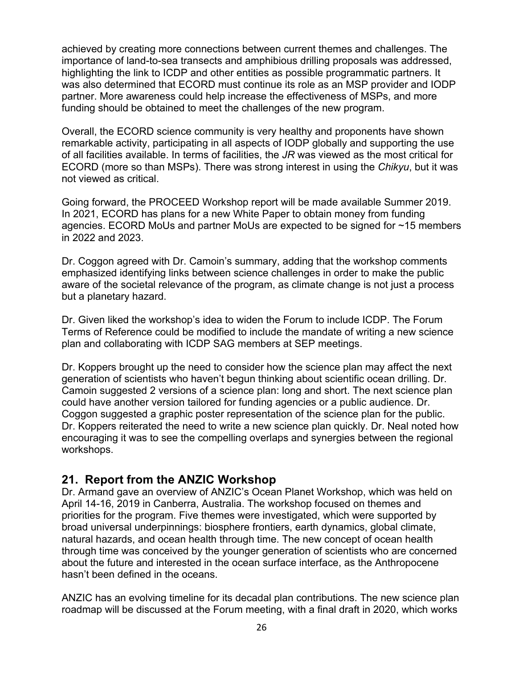achieved by creating more connections between current themes and challenges. The importance of land-to-sea transects and amphibious drilling proposals was addressed, highlighting the link to ICDP and other entities as possible programmatic partners. It was also determined that ECORD must continue its role as an MSP provider and IODP partner. More awareness could help increase the effectiveness of MSPs, and more funding should be obtained to meet the challenges of the new program.

Overall, the ECORD science community is very healthy and proponents have shown remarkable activity, participating in all aspects of IODP globally and supporting the use of all facilities available. In terms of facilities, the *JR* was viewed as the most critical for ECORD (more so than MSPs). There was strong interest in using the *Chikyu*, but it was not viewed as critical.

Going forward, the PROCEED Workshop report will be made available Summer 2019. In 2021, ECORD has plans for a new White Paper to obtain money from funding agencies. ECORD MoUs and partner MoUs are expected to be signed for ~15 members in 2022 and 2023.

Dr. Coggon agreed with Dr. Camoin's summary, adding that the workshop comments emphasized identifying links between science challenges in order to make the public aware of the societal relevance of the program, as climate change is not just a process but a planetary hazard.

Dr. Given liked the workshop's idea to widen the Forum to include ICDP. The Forum Terms of Reference could be modified to include the mandate of writing a new science plan and collaborating with ICDP SAG members at SEP meetings.

Dr. Koppers brought up the need to consider how the science plan may affect the next generation of scientists who haven't begun thinking about scientific ocean drilling. Dr. Camoin suggested 2 versions of a science plan: long and short. The next science plan could have another version tailored for funding agencies or a public audience. Dr. Coggon suggested a graphic poster representation of the science plan for the public. Dr. Koppers reiterated the need to write a new science plan quickly. Dr. Neal noted how encouraging it was to see the compelling overlaps and synergies between the regional workshops.

# **21. Report from the ANZIC Workshop**

Dr. Armand gave an overview of ANZIC's Ocean Planet Workshop, which was held on April 14-16, 2019 in Canberra, Australia. The workshop focused on themes and priorities for the program. Five themes were investigated, which were supported by broad universal underpinnings: biosphere frontiers, earth dynamics, global climate, natural hazards, and ocean health through time. The new concept of ocean health through time was conceived by the younger generation of scientists who are concerned about the future and interested in the ocean surface interface, as the Anthropocene hasn't been defined in the oceans.

ANZIC has an evolving timeline for its decadal plan contributions. The new science plan roadmap will be discussed at the Forum meeting, with a final draft in 2020, which works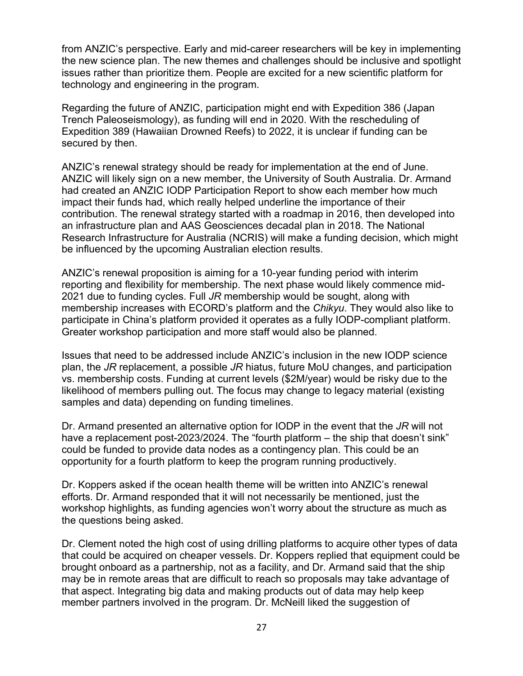from ANZIC's perspective. Early and mid-career researchers will be key in implementing the new science plan. The new themes and challenges should be inclusive and spotlight issues rather than prioritize them. People are excited for a new scientific platform for technology and engineering in the program.

Regarding the future of ANZIC, participation might end with Expedition 386 (Japan Trench Paleoseismology), as funding will end in 2020. With the rescheduling of Expedition 389 (Hawaiian Drowned Reefs) to 2022, it is unclear if funding can be secured by then.

ANZIC's renewal strategy should be ready for implementation at the end of June. ANZIC will likely sign on a new member, the University of South Australia. Dr. Armand had created an ANZIC IODP Participation Report to show each member how much impact their funds had, which really helped underline the importance of their contribution. The renewal strategy started with a roadmap in 2016, then developed into an infrastructure plan and AAS Geosciences decadal plan in 2018. The National Research Infrastructure for Australia (NCRIS) will make a funding decision, which might be influenced by the upcoming Australian election results.

ANZIC's renewal proposition is aiming for a 10-year funding period with interim reporting and flexibility for membership. The next phase would likely commence mid-2021 due to funding cycles. Full *JR* membership would be sought, along with membership increases with ECORD's platform and the *Chikyu*. They would also like to participate in China's platform provided it operates as a fully IODP-compliant platform. Greater workshop participation and more staff would also be planned.

Issues that need to be addressed include ANZIC's inclusion in the new IODP science plan, the *JR* replacement, a possible *JR* hiatus, future MoU changes, and participation vs. membership costs. Funding at current levels (\$2M/year) would be risky due to the likelihood of members pulling out. The focus may change to legacy material (existing samples and data) depending on funding timelines.

Dr. Armand presented an alternative option for IODP in the event that the *JR* will not have a replacement post-2023/2024. The "fourth platform – the ship that doesn't sink" could be funded to provide data nodes as a contingency plan. This could be an opportunity for a fourth platform to keep the program running productively.

Dr. Koppers asked if the ocean health theme will be written into ANZIC's renewal efforts. Dr. Armand responded that it will not necessarily be mentioned, just the workshop highlights, as funding agencies won't worry about the structure as much as the questions being asked.

Dr. Clement noted the high cost of using drilling platforms to acquire other types of data that could be acquired on cheaper vessels. Dr. Koppers replied that equipment could be brought onboard as a partnership, not as a facility, and Dr. Armand said that the ship may be in remote areas that are difficult to reach so proposals may take advantage of that aspect. Integrating big data and making products out of data may help keep member partners involved in the program. Dr. McNeill liked the suggestion of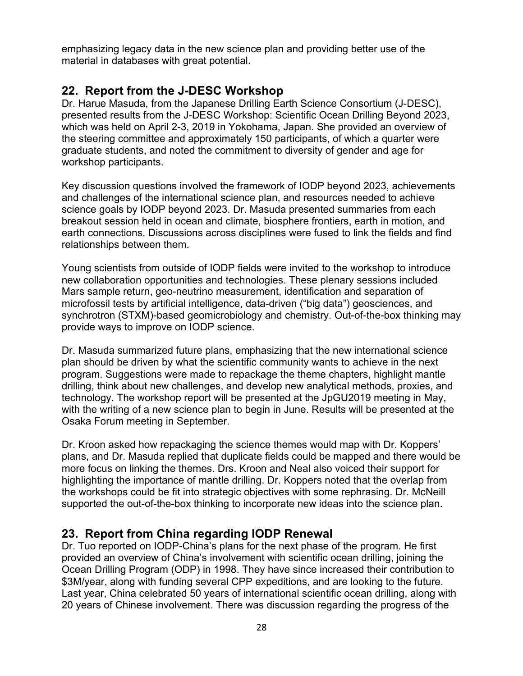emphasizing legacy data in the new science plan and providing better use of the material in databases with great potential.

# **22. Report from the J-DESC Workshop**

Dr. Harue Masuda, from the Japanese Drilling Earth Science Consortium (J-DESC), presented results from the J-DESC Workshop: Scientific Ocean Drilling Beyond 2023, which was held on April 2-3, 2019 in Yokohama, Japan. She provided an overview of the steering committee and approximately 150 participants, of which a quarter were graduate students, and noted the commitment to diversity of gender and age for workshop participants.

Key discussion questions involved the framework of IODP beyond 2023, achievements and challenges of the international science plan, and resources needed to achieve science goals by IODP beyond 2023. Dr. Masuda presented summaries from each breakout session held in ocean and climate, biosphere frontiers, earth in motion, and earth connections. Discussions across disciplines were fused to link the fields and find relationships between them.

Young scientists from outside of IODP fields were invited to the workshop to introduce new collaboration opportunities and technologies. These plenary sessions included Mars sample return, geo-neutrino measurement, identification and separation of microfossil tests by artificial intelligence, data-driven ("big data") geosciences, and synchrotron (STXM)-based geomicrobiology and chemistry. Out-of-the-box thinking may provide ways to improve on IODP science.

Dr. Masuda summarized future plans, emphasizing that the new international science plan should be driven by what the scientific community wants to achieve in the next program. Suggestions were made to repackage the theme chapters, highlight mantle drilling, think about new challenges, and develop new analytical methods, proxies, and technology. The workshop report will be presented at the JpGU2019 meeting in May, with the writing of a new science plan to begin in June. Results will be presented at the Osaka Forum meeting in September.

Dr. Kroon asked how repackaging the science themes would map with Dr. Koppers' plans, and Dr. Masuda replied that duplicate fields could be mapped and there would be more focus on linking the themes. Drs. Kroon and Neal also voiced their support for highlighting the importance of mantle drilling. Dr. Koppers noted that the overlap from the workshops could be fit into strategic objectives with some rephrasing. Dr. McNeill supported the out-of-the-box thinking to incorporate new ideas into the science plan.

# **23. Report from China regarding IODP Renewal**

Dr. Tuo reported on IODP-China's plans for the next phase of the program. He first provided an overview of China's involvement with scientific ocean drilling, joining the Ocean Drilling Program (ODP) in 1998. They have since increased their contribution to \$3M/year, along with funding several CPP expeditions, and are looking to the future. Last year, China celebrated 50 years of international scientific ocean drilling, along with 20 years of Chinese involvement. There was discussion regarding the progress of the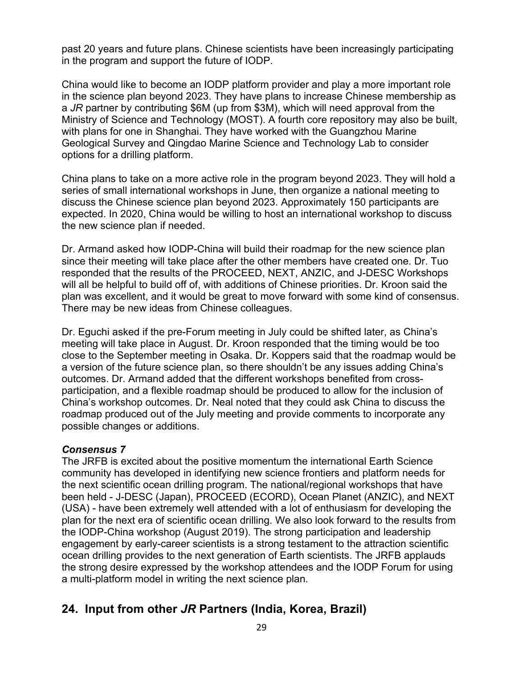past 20 years and future plans. Chinese scientists have been increasingly participating in the program and support the future of IODP.

China would like to become an IODP platform provider and play a more important role in the science plan beyond 2023. They have plans to increase Chinese membership as a *JR* partner by contributing \$6M (up from \$3M), which will need approval from the Ministry of Science and Technology (MOST). A fourth core repository may also be built, with plans for one in Shanghai. They have worked with the Guangzhou Marine Geological Survey and Qingdao Marine Science and Technology Lab to consider options for a drilling platform.

China plans to take on a more active role in the program beyond 2023. They will hold a series of small international workshops in June, then organize a national meeting to discuss the Chinese science plan beyond 2023. Approximately 150 participants are expected. In 2020, China would be willing to host an international workshop to discuss the new science plan if needed.

Dr. Armand asked how IODP-China will build their roadmap for the new science plan since their meeting will take place after the other members have created one. Dr. Tuo responded that the results of the PROCEED, NEXT, ANZIC, and J-DESC Workshops will all be helpful to build off of, with additions of Chinese priorities. Dr. Kroon said the plan was excellent, and it would be great to move forward with some kind of consensus. There may be new ideas from Chinese colleagues.

Dr. Eguchi asked if the pre-Forum meeting in July could be shifted later, as China's meeting will take place in August. Dr. Kroon responded that the timing would be too close to the September meeting in Osaka. Dr. Koppers said that the roadmap would be a version of the future science plan, so there shouldn't be any issues adding China's outcomes. Dr. Armand added that the different workshops benefited from crossparticipation, and a flexible roadmap should be produced to allow for the inclusion of China's workshop outcomes. Dr. Neal noted that they could ask China to discuss the roadmap produced out of the July meeting and provide comments to incorporate any possible changes or additions.

#### *Consensus 7*

The JRFB is excited about the positive momentum the international Earth Science community has developed in identifying new science frontiers and platform needs for the next scientific ocean drilling program. The national/regional workshops that have been held - J-DESC (Japan), PROCEED (ECORD), Ocean Planet (ANZIC), and NEXT (USA) - have been extremely well attended with a lot of enthusiasm for developing the plan for the next era of scientific ocean drilling. We also look forward to the results from the IODP-China workshop (August 2019). The strong participation and leadership engagement by early-career scientists is a strong testament to the attraction scientific ocean drilling provides to the next generation of Earth scientists. The JRFB applauds the strong desire expressed by the workshop attendees and the IODP Forum for using a multi-platform model in writing the next science plan.

# **24. Input from other** *JR* **Partners (India, Korea, Brazil)**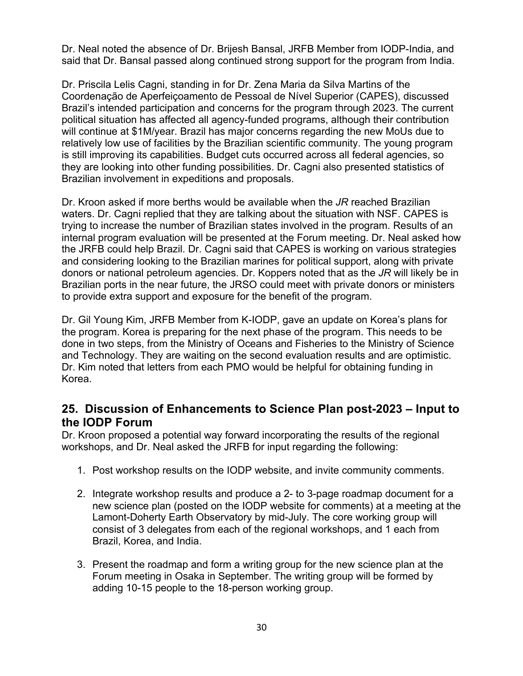Dr. Neal noted the absence of Dr. Brijesh Bansal, JRFB Member from IODP-India, and said that Dr. Bansal passed along continued strong support for the program from India.

Dr. Priscila Lelis Cagni, standing in for Dr. Zena Maria da Silva Martins of the Coordenação de Aperfeiçoamento de Pessoal de Nível Superior (CAPES), discussed Brazil's intended participation and concerns for the program through 2023. The current political situation has affected all agency-funded programs, although their contribution will continue at \$1M/year. Brazil has major concerns regarding the new MoUs due to relatively low use of facilities by the Brazilian scientific community. The young program is still improving its capabilities. Budget cuts occurred across all federal agencies, so they are looking into other funding possibilities. Dr. Cagni also presented statistics of Brazilian involvement in expeditions and proposals.

Dr. Kroon asked if more berths would be available when the *JR* reached Brazilian waters. Dr. Cagni replied that they are talking about the situation with NSF. CAPES is trying to increase the number of Brazilian states involved in the program. Results of an internal program evaluation will be presented at the Forum meeting. Dr. Neal asked how the JRFB could help Brazil. Dr. Cagni said that CAPES is working on various strategies and considering looking to the Brazilian marines for political support, along with private donors or national petroleum agencies. Dr. Koppers noted that as the *JR* will likely be in Brazilian ports in the near future, the JRSO could meet with private donors or ministers to provide extra support and exposure for the benefit of the program.

Dr. Gil Young Kim, JRFB Member from K-IODP, gave an update on Korea's plans for the program. Korea is preparing for the next phase of the program. This needs to be done in two steps, from the Ministry of Oceans and Fisheries to the Ministry of Science and Technology. They are waiting on the second evaluation results and are optimistic. Dr. Kim noted that letters from each PMO would be helpful for obtaining funding in Korea.

# **25. Discussion of Enhancements to Science Plan post-2023 – Input to the IODP Forum**

Dr. Kroon proposed a potential way forward incorporating the results of the regional workshops, and Dr. Neal asked the JRFB for input regarding the following:

- 1. Post workshop results on the IODP website, and invite community comments.
- 2. Integrate workshop results and produce a 2- to 3-page roadmap document for a new science plan (posted on the IODP website for comments) at a meeting at the Lamont-Doherty Earth Observatory by mid-July. The core working group will consist of 3 delegates from each of the regional workshops, and 1 each from Brazil, Korea, and India.
- 3. Present the roadmap and form a writing group for the new science plan at the Forum meeting in Osaka in September. The writing group will be formed by adding 10-15 people to the 18-person working group.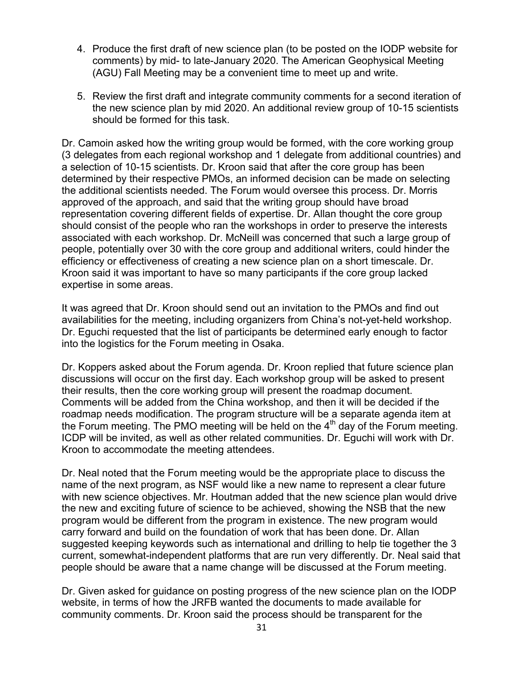- 4. Produce the first draft of new science plan (to be posted on the IODP website for comments) by mid- to late-January 2020. The American Geophysical Meeting (AGU) Fall Meeting may be a convenient time to meet up and write.
- 5. Review the first draft and integrate community comments for a second iteration of the new science plan by mid 2020. An additional review group of 10-15 scientists should be formed for this task.

Dr. Camoin asked how the writing group would be formed, with the core working group (3 delegates from each regional workshop and 1 delegate from additional countries) and a selection of 10-15 scientists. Dr. Kroon said that after the core group has been determined by their respective PMOs, an informed decision can be made on selecting the additional scientists needed. The Forum would oversee this process. Dr. Morris approved of the approach, and said that the writing group should have broad representation covering different fields of expertise. Dr. Allan thought the core group should consist of the people who ran the workshops in order to preserve the interests associated with each workshop. Dr. McNeill was concerned that such a large group of people, potentially over 30 with the core group and additional writers, could hinder the efficiency or effectiveness of creating a new science plan on a short timescale. Dr. Kroon said it was important to have so many participants if the core group lacked expertise in some areas.

It was agreed that Dr. Kroon should send out an invitation to the PMOs and find out availabilities for the meeting, including organizers from China's not-yet-held workshop. Dr. Eguchi requested that the list of participants be determined early enough to factor into the logistics for the Forum meeting in Osaka.

Dr. Koppers asked about the Forum agenda. Dr. Kroon replied that future science plan discussions will occur on the first day. Each workshop group will be asked to present their results, then the core working group will present the roadmap document. Comments will be added from the China workshop, and then it will be decided if the roadmap needs modification. The program structure will be a separate agenda item at the Forum meeting. The PMO meeting will be held on the  $4<sup>th</sup>$  day of the Forum meeting. ICDP will be invited, as well as other related communities. Dr. Eguchi will work with Dr. Kroon to accommodate the meeting attendees.

Dr. Neal noted that the Forum meeting would be the appropriate place to discuss the name of the next program, as NSF would like a new name to represent a clear future with new science objectives. Mr. Houtman added that the new science plan would drive the new and exciting future of science to be achieved, showing the NSB that the new program would be different from the program in existence. The new program would carry forward and build on the foundation of work that has been done. Dr. Allan suggested keeping keywords such as international and drilling to help tie together the 3 current, somewhat-independent platforms that are run very differently. Dr. Neal said that people should be aware that a name change will be discussed at the Forum meeting.

Dr. Given asked for guidance on posting progress of the new science plan on the IODP website, in terms of how the JRFB wanted the documents to made available for community comments. Dr. Kroon said the process should be transparent for the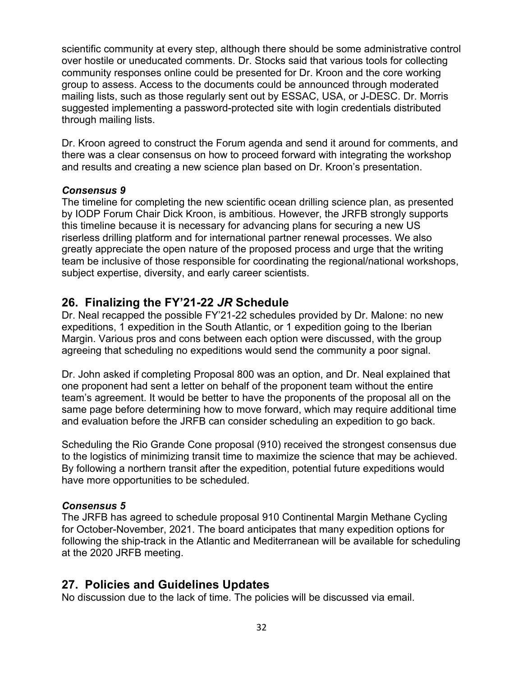scientific community at every step, although there should be some administrative control over hostile or uneducated comments. Dr. Stocks said that various tools for collecting community responses online could be presented for Dr. Kroon and the core working group to assess. Access to the documents could be announced through moderated mailing lists, such as those regularly sent out by ESSAC, USA, or J-DESC. Dr. Morris suggested implementing a password-protected site with login credentials distributed through mailing lists.

Dr. Kroon agreed to construct the Forum agenda and send it around for comments, and there was a clear consensus on how to proceed forward with integrating the workshop and results and creating a new science plan based on Dr. Kroon's presentation.

#### *Consensus 9*

The timeline for completing the new scientific ocean drilling science plan, as presented by IODP Forum Chair Dick Kroon, is ambitious. However, the JRFB strongly supports this timeline because it is necessary for advancing plans for securing a new US riserless drilling platform and for international partner renewal processes. We also greatly appreciate the open nature of the proposed process and urge that the writing team be inclusive of those responsible for coordinating the regional/national workshops, subject expertise, diversity, and early career scientists.

# **26. Finalizing the FY'21-22** *JR* **Schedule**

Dr. Neal recapped the possible FY'21-22 schedules provided by Dr. Malone: no new expeditions, 1 expedition in the South Atlantic, or 1 expedition going to the Iberian Margin. Various pros and cons between each option were discussed, with the group agreeing that scheduling no expeditions would send the community a poor signal.

Dr. John asked if completing Proposal 800 was an option, and Dr. Neal explained that one proponent had sent a letter on behalf of the proponent team without the entire team's agreement. It would be better to have the proponents of the proposal all on the same page before determining how to move forward, which may require additional time and evaluation before the JRFB can consider scheduling an expedition to go back.

Scheduling the Rio Grande Cone proposal (910) received the strongest consensus due to the logistics of minimizing transit time to maximize the science that may be achieved. By following a northern transit after the expedition, potential future expeditions would have more opportunities to be scheduled.

## *Consensus 5*

The JRFB has agreed to schedule proposal 910 Continental Margin Methane Cycling for October-November, 2021. The board anticipates that many expedition options for following the ship-track in the Atlantic and Mediterranean will be available for scheduling at the 2020 JRFB meeting.

# **27. Policies and Guidelines Updates**

No discussion due to the lack of time. The policies will be discussed via email.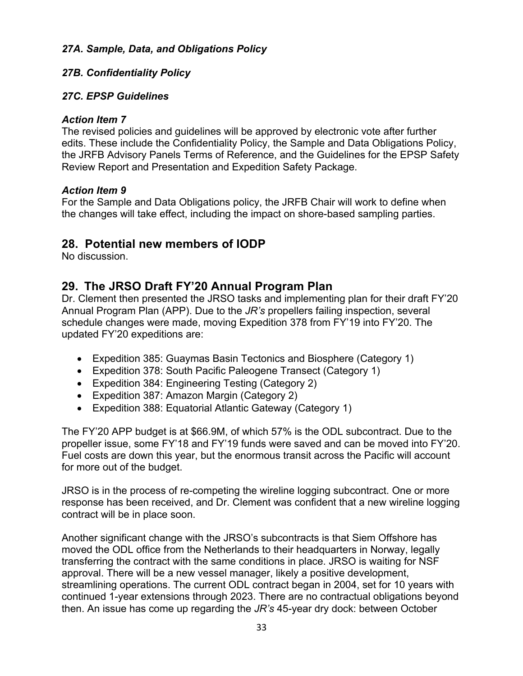## *27A. Sample, Data, and Obligations Policy*

## *27B. Confidentiality Policy*

#### *27C. EPSP Guidelines*

#### *Action Item 7*

The revised policies and guidelines will be approved by electronic vote after further edits. These include the Confidentiality Policy, the Sample and Data Obligations Policy, the JRFB Advisory Panels Terms of Reference, and the Guidelines for the EPSP Safety Review Report and Presentation and Expedition Safety Package.

#### *Action Item 9*

For the Sample and Data Obligations policy, the JRFB Chair will work to define when the changes will take effect, including the impact on shore-based sampling parties.

## **28. Potential new members of IODP**

No discussion.

# **29. The JRSO Draft FY'20 Annual Program Plan**

Dr. Clement then presented the JRSO tasks and implementing plan for their draft FY'20 Annual Program Plan (APP). Due to the *JR's* propellers failing inspection, several schedule changes were made, moving Expedition 378 from FY'19 into FY'20. The updated FY'20 expeditions are:

- Expedition 385: Guaymas Basin Tectonics and Biosphere (Category 1)
- Expedition 378: South Pacific Paleogene Transect (Category 1)
- Expedition 384: Engineering Testing (Category 2)
- Expedition 387: Amazon Margin (Category 2)
- Expedition 388: Equatorial Atlantic Gateway (Category 1)

The FY'20 APP budget is at \$66.9M, of which 57% is the ODL subcontract. Due to the propeller issue, some FY'18 and FY'19 funds were saved and can be moved into FY'20. Fuel costs are down this year, but the enormous transit across the Pacific will account for more out of the budget.

JRSO is in the process of re-competing the wireline logging subcontract. One or more response has been received, and Dr. Clement was confident that a new wireline logging contract will be in place soon.

Another significant change with the JRSO's subcontracts is that Siem Offshore has moved the ODL office from the Netherlands to their headquarters in Norway, legally transferring the contract with the same conditions in place. JRSO is waiting for NSF approval. There will be a new vessel manager, likely a positive development, streamlining operations. The current ODL contract began in 2004, set for 10 years with continued 1-year extensions through 2023. There are no contractual obligations beyond then. An issue has come up regarding the *JR's* 45-year dry dock: between October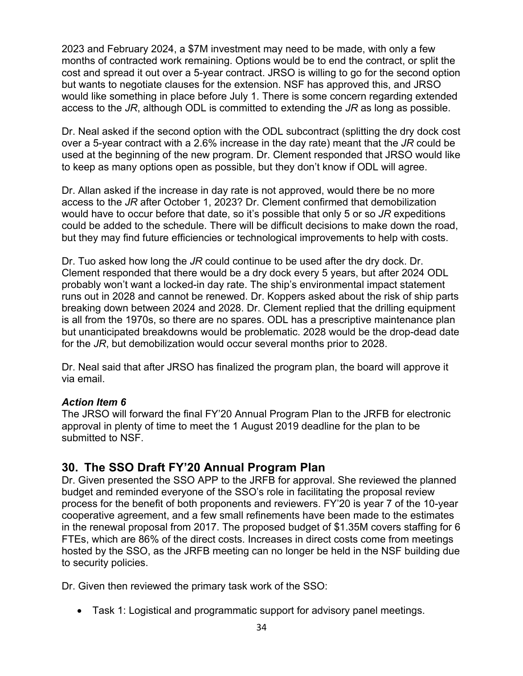2023 and February 2024, a \$7M investment may need to be made, with only a few months of contracted work remaining. Options would be to end the contract, or split the cost and spread it out over a 5-year contract. JRSO is willing to go for the second option but wants to negotiate clauses for the extension. NSF has approved this, and JRSO would like something in place before July 1. There is some concern regarding extended access to the *JR*, although ODL is committed to extending the *JR* as long as possible.

Dr. Neal asked if the second option with the ODL subcontract (splitting the dry dock cost over a 5-year contract with a 2.6% increase in the day rate) meant that the *JR* could be used at the beginning of the new program. Dr. Clement responded that JRSO would like to keep as many options open as possible, but they don't know if ODL will agree.

Dr. Allan asked if the increase in day rate is not approved, would there be no more access to the *JR* after October 1, 2023? Dr. Clement confirmed that demobilization would have to occur before that date, so it's possible that only 5 or so *JR* expeditions could be added to the schedule. There will be difficult decisions to make down the road, but they may find future efficiencies or technological improvements to help with costs.

Dr. Tuo asked how long the *JR* could continue to be used after the dry dock. Dr. Clement responded that there would be a dry dock every 5 years, but after 2024 ODL probably won't want a locked-in day rate. The ship's environmental impact statement runs out in 2028 and cannot be renewed. Dr. Koppers asked about the risk of ship parts breaking down between 2024 and 2028. Dr. Clement replied that the drilling equipment is all from the 1970s, so there are no spares. ODL has a prescriptive maintenance plan but unanticipated breakdowns would be problematic. 2028 would be the drop-dead date for the *JR*, but demobilization would occur several months prior to 2028.

Dr. Neal said that after JRSO has finalized the program plan, the board will approve it via email.

## *Action Item 6*

The JRSO will forward the final FY'20 Annual Program Plan to the JRFB for electronic approval in plenty of time to meet the 1 August 2019 deadline for the plan to be submitted to NSF.

# **30. The SSO Draft FY'20 Annual Program Plan**

Dr. Given presented the SSO APP to the JRFB for approval. She reviewed the planned budget and reminded everyone of the SSO's role in facilitating the proposal review process for the benefit of both proponents and reviewers. FY'20 is year 7 of the 10-year cooperative agreement, and a few small refinements have been made to the estimates in the renewal proposal from 2017. The proposed budget of \$1.35M covers staffing for 6 FTEs, which are 86% of the direct costs. Increases in direct costs come from meetings hosted by the SSO, as the JRFB meeting can no longer be held in the NSF building due to security policies.

Dr. Given then reviewed the primary task work of the SSO:

• Task 1: Logistical and programmatic support for advisory panel meetings.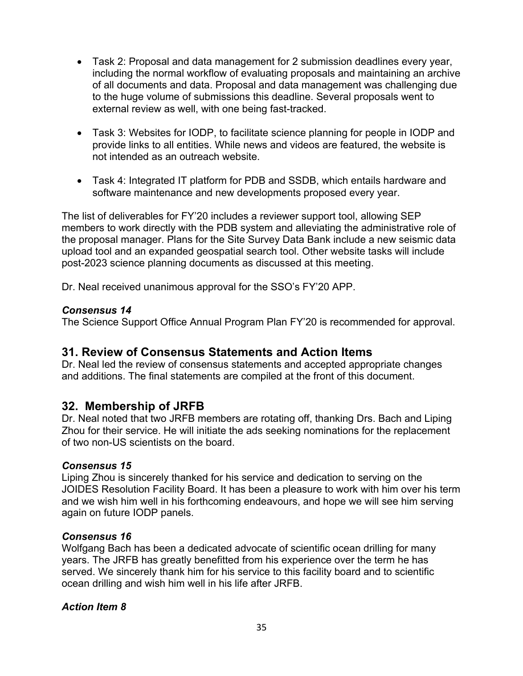- Task 2: Proposal and data management for 2 submission deadlines every year, including the normal workflow of evaluating proposals and maintaining an archive of all documents and data. Proposal and data management was challenging due to the huge volume of submissions this deadline. Several proposals went to external review as well, with one being fast-tracked.
- Task 3: Websites for IODP, to facilitate science planning for people in IODP and provide links to all entities. While news and videos are featured, the website is not intended as an outreach website.
- Task 4: Integrated IT platform for PDB and SSDB, which entails hardware and software maintenance and new developments proposed every year.

The list of deliverables for FY'20 includes a reviewer support tool, allowing SEP members to work directly with the PDB system and alleviating the administrative role of the proposal manager. Plans for the Site Survey Data Bank include a new seismic data upload tool and an expanded geospatial search tool. Other website tasks will include post-2023 science planning documents as discussed at this meeting.

Dr. Neal received unanimous approval for the SSO's FY'20 APP.

## *Consensus 14*

The Science Support Office Annual Program Plan FY'20 is recommended for approval.

# **31. Review of Consensus Statements and Action Items**

Dr. Neal led the review of consensus statements and accepted appropriate changes and additions. The final statements are compiled at the front of this document.

# **32. Membership of JRFB**

Dr. Neal noted that two JRFB members are rotating off, thanking Drs. Bach and Liping Zhou for their service. He will initiate the ads seeking nominations for the replacement of two non-US scientists on the board.

#### *Consensus 15*

Liping Zhou is sincerely thanked for his service and dedication to serving on the JOIDES Resolution Facility Board. It has been a pleasure to work with him over his term and we wish him well in his forthcoming endeavours, and hope we will see him serving again on future IODP panels.

#### *Consensus 16*

Wolfgang Bach has been a dedicated advocate of scientific ocean drilling for many years. The JRFB has greatly benefitted from his experience over the term he has served. We sincerely thank him for his service to this facility board and to scientific ocean drilling and wish him well in his life after JRFB.

## *Action Item 8*